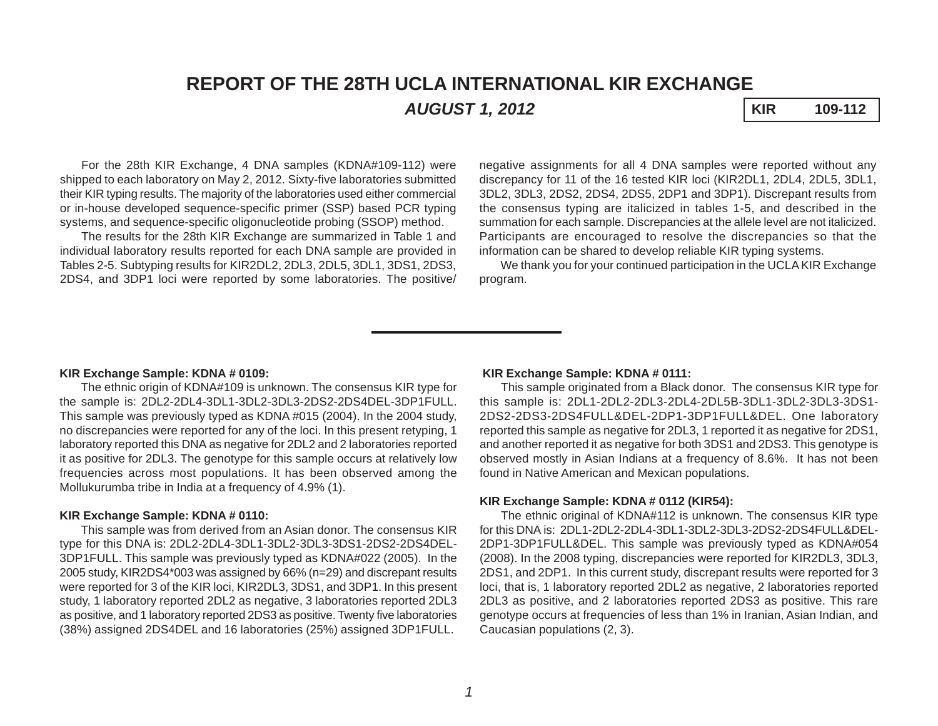# **REPORT OF THE 28TH UCLA INTERNATIONAL KIR EXCHANGE** *AUGUST 1, 2012* **KIR 109-112**

For the 28th KIR Exchange, 4 DNA samples (KDNA#109-112) were shipped to each laboratory on May 2, 2012. Sixty-five laboratories submitted their KIR typing results. The majority of the laboratories used either commercial or in-house developed sequence-specific primer (SSP) based PCR typing systems, and sequence-specific oligonucleotide probing (SSOP) method.

The results for the 28th KIR Exchange are summarized in Table 1 and individual laboratory results reported for each DNA sample are provided in Tables 2-5. Subtyping results for KIR2DL2, 2DL3, 2DL5, 3DL1, 3DS1, 2DS3, 2DS4, and 3DP1 loci were reported by some laboratories. The positive/

negative assignments for all 4 DNA samples were reported without any discrepancy for 11 of the 16 tested KIR loci (KIR2DL1, 2DL4, 2DL5, 3DL1, 3DL2, 3DL3, 2DS2, 2DS4, 2DS5, 2DP1 and 3DP1). Discrepant results from the consensus typing are italicized in tables 1-5, and described in the summation for each sample. Discrepancies at the allele level are not italicized. Participants are encouraged to resolve the discrepancies so that the information can be shared to develop reliable KIR typing systems.

We thank you for your continued participation in the UCLA KIR Exchange program.

#### **KIR Exchange Sample: KDNA # 0109:**

The ethnic origin of KDNA#109 is unknown. The consensus KIR type for the sample is: 2DL2-2DL4-3DL1-3DL2-3DL3-2DS2-2DS4DEL-3DP1FULL. This sample was previously typed as KDNA #015 (2004). In the 2004 study, no discrepancies were reported for any of the loci. In this present retyping, 1 laboratory reported this DNA as negative for 2DL2 and 2 laboratories reported it as positive for 2DL3. The genotype for this sample occurs at relatively low frequencies across most populations. It has been observed among the Mollukurumba tribe in India at a frequency of 4.9% (1).

#### **KIR Exchange Sample: KDNA # 0110:**

This sample was from derived from an Asian donor. The consensus KIR type for this DNA is: 2DL2-2DL4-3DL1-3DL2-3DL3-3DS1-2DS2-2DS4DEL-3DP1FULL. This sample was previously typed as KDNA#022 (2005). In the 2005 study, KIR2DS4\*003 was assigned by 66% (n=29) and discrepant results were reported for 3 of the KIR loci, KIR2DL3, 3DS1, and 3DP1. In this present study, 1 laboratory reported 2DL2 as negative, 3 laboratories reported 2DL3 as positive, and 1 laboratory reported 2DS3 as positive. Twenty five laboratories (38%) assigned 2DS4DEL and 16 laboratories (25%) assigned 3DP1FULL.

### **KIR Exchange Sample: KDNA # 0111:**

This sample originated from a Black donor. The consensus KIR type for this sample is: 2DL1-2DL2-2DL3-2DL4-2DL5B-3DL1-3DL2-3DL3-3DS1- 2DS2-2DS3-2DS4FULL&DEL-2DP1-3DP1FULL&DEL. One laboratory reported this sample as negative for 2DL3, 1 reported it as negative for 2DS1, and another reported it as negative for both 3DS1 and 2DS3. This genotype is observed mostly in Asian Indians at a frequency of 8.6%. It has not been found in Native American and Mexican populations.

## **KIR Exchange Sample: KDNA # 0112 (KIR54):**

The ethnic original of KDNA#112 is unknown. The consensus KIR type for this DNA is: 2DL1-2DL2-2DL4-3DL1-3DL2-3DL3-2DS2-2DS4FULL&DEL-2DP1-3DP1FULL&DEL. This sample was previously typed as KDNA#054 (2008). In the 2008 typing, discrepancies were reported for KIR2DL3, 3DL3, 2DS1, and 2DP1. In this current study, discrepant results were reported for 3 loci, that is, 1 laboratory reported 2DL2 as negative, 2 laboratories reported 2DL3 as positive, and 2 laboratories reported 2DS3 as positive. This rare genotype occurs at frequencies of less than 1% in Iranian, Asian Indian, and Caucasian populations (2, 3).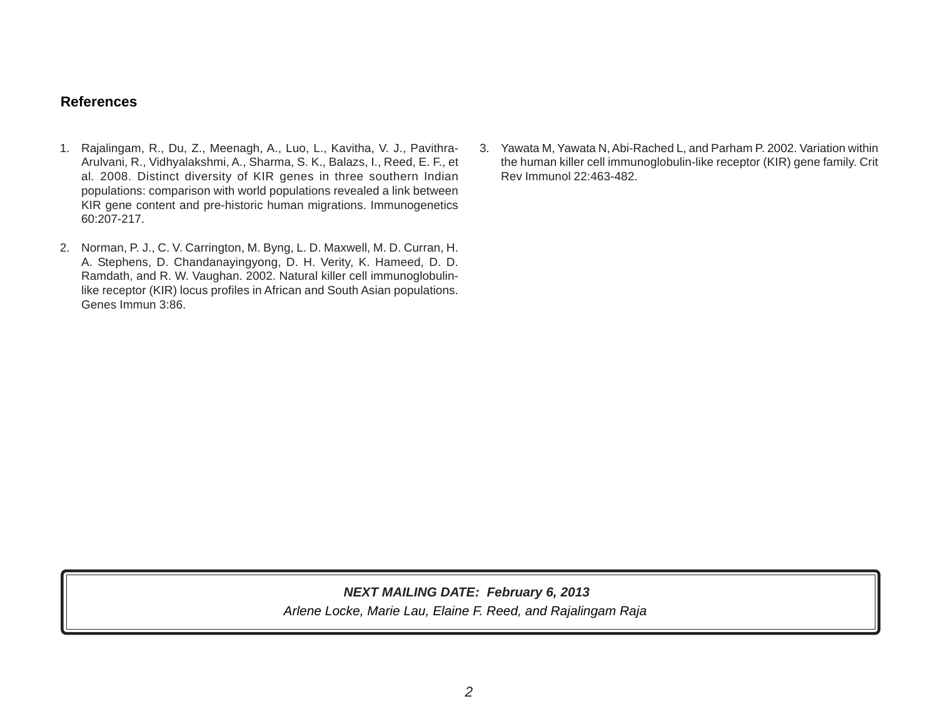# **References**

- 1. Rajalingam, R., Du, Z., Meenagh, A., Luo, L., Kavitha, V. J., Pavithra-Arulvani, R., Vidhyalakshmi, A., Sharma, S. K., Balazs, I., Reed, E. F., et al*.* 2008. Distinct diversity of KIR genes in three southern Indian populations: comparison with world populations revealed a link between KIR gene content and pre-historic human migrations. Immunogenetics 60:207-217.
- 2. Norman, P. J., C. V. Carrington, M. Byng, L. D. Maxwell, M. D. Curran, H. A. Stephens, D. Chandanayingyong, D. H. Verity, K. Hameed, D. D. Ramdath, and R. W. Vaughan. 2002. Natural killer cell immunoglobulinlike receptor (KIR) locus profiles in African and South Asian populations. Genes Immun 3:86.
- 3. Yawata M, Yawata N, Abi-Rached L, and Parham P. 2002. Variation within the human killer cell immunoglobulin-like receptor (KIR) gene family. Crit Rev Immunol 22:463-482.

*Arlene Locke, Marie Lau, Elaine F. Reed, and Rajalingam Raja NEXT MAILING DATE: February 6, 2013*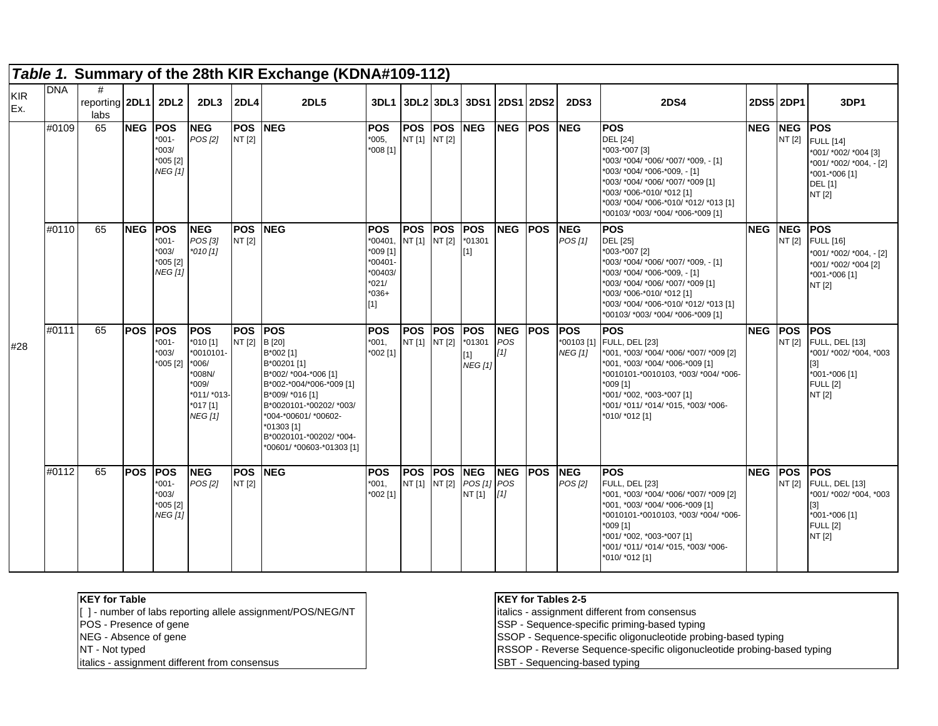|                   |            |                                  |            |                                                                   |                                                                                                         |                          | Table 1. Summary of the 28th KIR Exchange (KDNA#109-112)                                                                                                                                                                                         |                                                                                          |                             |             |                                                    |                                |             |                                             |                                                                                                                                                                                                                                                                      |             |                      |                                                                                                                                |
|-------------------|------------|----------------------------------|------------|-------------------------------------------------------------------|---------------------------------------------------------------------------------------------------------|--------------------------|--------------------------------------------------------------------------------------------------------------------------------------------------------------------------------------------------------------------------------------------------|------------------------------------------------------------------------------------------|-----------------------------|-------------|----------------------------------------------------|--------------------------------|-------------|---------------------------------------------|----------------------------------------------------------------------------------------------------------------------------------------------------------------------------------------------------------------------------------------------------------------------|-------------|----------------------|--------------------------------------------------------------------------------------------------------------------------------|
| <b>KIR</b><br>Ex. | <b>DNA</b> | #<br>reporting 2DL1 2DL2<br>labs |            |                                                                   | 2DL <sub>3</sub>                                                                                        | 2DL4                     | <b>2DL5</b>                                                                                                                                                                                                                                      |                                                                                          |                             |             | 3DL1 3DL2 3DL3 3DS1 2DS1 2DS2                      |                                |             | <b>2DS3</b>                                 | <b>2DS4</b>                                                                                                                                                                                                                                                          | 2DS5 2DP1   |                      | 3DP <sub>1</sub>                                                                                                               |
|                   | #0109      | 65                               | <b>NEG</b> | <b>POS</b><br>$*001 -$<br>$*003/$<br>$*005 [2]$<br><b>NEG [1]</b> | <b>NEG</b><br>POS [2]                                                                                   | <b>POS NEG</b><br>NT [2] |                                                                                                                                                                                                                                                  | <b>POS</b><br>*005,<br>*008 [1]                                                          | NT [1] NT [2]               | POS POS NEG |                                                    |                                | NEG POS NEG |                                             | <b>POS</b><br><b>DEL</b> [24]<br>*003-*007 [3]<br>*003/ *004/ *006/ *007/ *009, - [1]<br>*003/ *004/ *006-*009, - [1]<br>*003/ *004/ *006/ *007/ *009 [1]<br>*003/ *006-*010/ *012 [1]<br>*003/ *004/ *006-*010/ *012/ *013 [1]<br>*00103/ *003/ *004/ *006-*009 [1] | <b>NEG</b>  | <b>NEG</b><br>NT [2] | <b>POS</b><br><b>FULL</b> [14]<br>*001/ *002/ *004 [3]<br>*001/ *002/ *004, - [2]<br>*001-*006 [1]<br><b>DEL</b> [1]<br>NT [2] |
|                   | #0110      | 65                               | <b>NEG</b> | <b>POS</b><br>$*001 -$<br>$*003/$<br>$*005 [2]$<br><b>NEG</b> [1] | <b>NEG</b><br>POS [3]<br>$*010[1]$                                                                      | <b>POS</b><br>NT [2]     | <b>NEG</b>                                                                                                                                                                                                                                       | <b>POS</b><br>*00401<br>*009 [1]<br>$*00401 -$<br>*00403/<br>$*021/$<br>$*036+$<br>$[1]$ | POS POS<br>NT [1] NT [2]    |             | <b>POS</b><br>$*01301$<br>$[1]$                    | <b>NEG POS</b>                 |             | <b>NEG</b><br>POS[1]                        | <b>POS</b><br><b>DEL</b> [25]<br>*003-*007 [2]<br>*003/ *004/ *006/ *007/ *009, - [1]<br>*003/ *004/ *006-*009, - [1]<br>*003/ *004/ *006/ *007/ *009 [1]<br>*003/ *006-*010/ *012 [1]<br>*003/ *004/ *006-*010/ *012/ *013 [1]<br>*00103/ *003/ *004/ *006-*009 [1] | <b>NEG</b>  | <b>NEG</b><br>NT [2] | <b>POS</b><br><b>FULL</b> [16]<br>*001/ *002/ *004, - [2]<br>*001/ *002/ *004 [2]<br>*001-*006 [1]<br>NT [2]                   |
| #28               | #0111      | 65                               | <b>POS</b> | <b>IPOS</b><br>$*001-$<br>$*003/$<br>*005 [2] *006/               | <b>POS</b><br>$*010$ [1]<br>*0010101-<br>*008N/<br>$*009/$<br>*011/ *013-<br>*017 [1]<br><b>NEG [1]</b> | <b>POS</b><br>NT [2]     | <b>IPOS</b><br>B [20]<br>B*002 [1]<br>B*00201 [1]<br>B*002/ *004-*006 [1]<br>B*002-*004/*006-*009 [1]<br>B*009/ *016 [1]<br>B*0020101-*00202/ *003/<br>*004-*00601/ *00602-<br>*01303 [1]<br>B*0020101-*00202/*004-<br>*00601/ *00603-*01303 [1] | <b>POS</b><br>*001.<br>*002 [1]                                                          | <b>POS</b><br>NT [1] NT [2] | <b>POS</b>  | <b>POS</b><br>$*01301$<br>$[1]$<br><b>NEG [1]</b>  | <b>NEG</b><br>POS<br>[1]       | <b>POS</b>  | <b>IPOS</b><br>*00103 [1]<br><b>NEG [1]</b> | <b>POS</b><br><b>FULL, DEL [23]</b><br>*001, *003/ *004/ *006/ *007/ *009 [2]<br>*001, *003/ *004/ *006-*009 [1]<br>*0010101-*0010103, *003/ *004/ *006-<br>*009 [1]<br>*001/ *002, *003-*007 [1]<br>*001/ *011/ *014/ *015, *003/ *006-<br>*010/ *012 [1]           | <b>INEG</b> | <b>POS</b><br>NT [2] | <b>POS</b><br><b>FULL, DEL [13]</b><br>*001/ *002/ *004, *003<br>[3]<br>*001-*006 [1]<br><b>FULL [2]</b><br>NT [2]             |
|                   | #0112      | 65                               | <b>POS</b> | <b>POS</b><br>*001-<br>$*003/$<br>$*005$ [2]<br>NEG [1]           | <b>INEG</b><br>POS [2]                                                                                  | <b>POS</b><br>NT [2]     | <b>NEG</b>                                                                                                                                                                                                                                       | <b>POS</b><br>*001.<br>*002 [1]                                                          | <b>POS</b>                  | <b>POS</b>  | <b>INEG</b><br>NT [1] NT [2] POS [1] POS<br>NT [1] | <b>NEG</b><br>$\left[1\right]$ | <b>POS</b>  | <b>INEG</b><br>POS [2]                      | <b>POS</b><br><b>FULL, DEL [23]</b><br>*001, *003/ *004/ *006/ *007/ *009 [2]<br>*001, *003/ *004/ *006-*009 [1]<br>*0010101-*0010103, *003/ *004/ *006-<br>*009 [1]<br>*001/ *002, *003-*007 [1]<br>*001/ *011/ *014/ *015, *003/ *006-<br>*010/ *012 [1]           | <b>NEG</b>  | <b>POS</b>           | <b>POS</b><br>NT [2] FULL, DEL [13]<br>*001/ *002/ *004, *003<br>[3]<br>*001-*006 [1]<br><b>FULL [2]</b><br>NT [2]             |

[ ] - number of labs reporting allele assignment/POS/NEG/NT | italics - assignment different from consensus

italics - assignment different from consensus SBT - Sequencing-based typing

#### **KEY for Table KEY for Tables 2-5**

POS - Presence of gene<br>NEG - Absence of gene<br>NEG - Absence of gene

NEG - Absence of gene SSOP - Sequence-specific oligonucleotide probing-based typing

NT - Not typed RSSOP - Reverse Sequence-specific oligonucleotide probing-based typing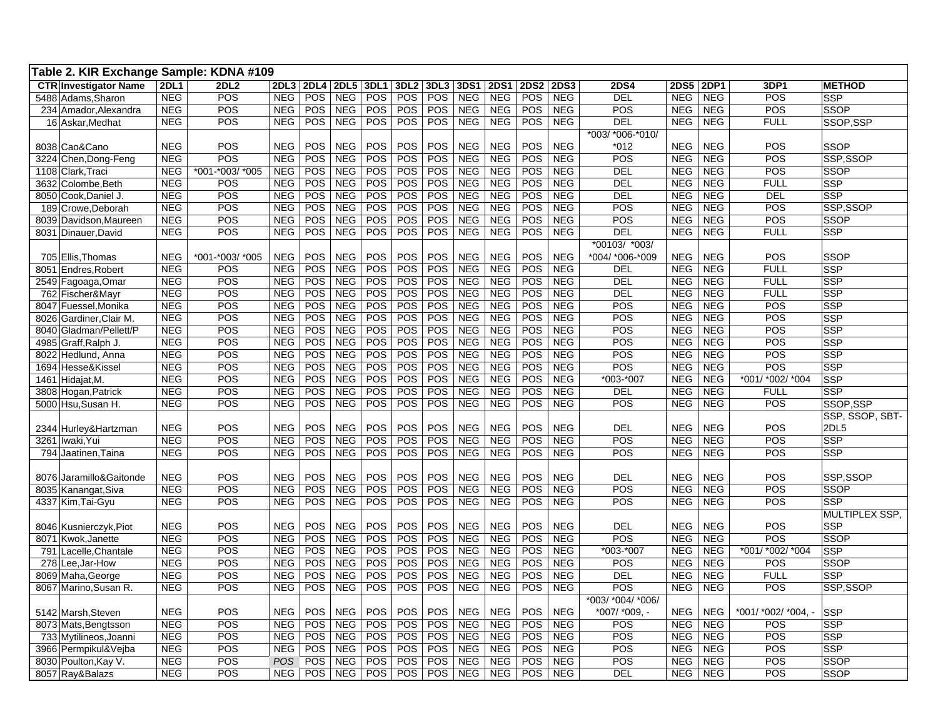| Table 2. KIR Exchange Sample: KDNA #109 |             |                 |            |             |             |                  |                  |            |            |             |             |             |                   |             |             |                     |                 |
|-----------------------------------------|-------------|-----------------|------------|-------------|-------------|------------------|------------------|------------|------------|-------------|-------------|-------------|-------------------|-------------|-------------|---------------------|-----------------|
| <b>CTR Investigator Name</b>            | <b>2DL1</b> | <b>2DL2</b>     | 2DL3       | <b>2DL4</b> | <b>2DL5</b> | 3DL1             | 3DL <sub>2</sub> | 3DL3       | 3DS1       | <b>2DS1</b> | <b>2DS2</b> | <b>2DS3</b> | <b>2DS4</b>       | <b>2DS5</b> | <b>2DP1</b> | 3DP1                | <b>METHOD</b>   |
| 5488 Adams, Sharon                      | <b>NEG</b>  | POS             | <b>NEG</b> | POS         | <b>NEG</b>  | $\overline{POS}$ | <b>POS</b>       | <b>POS</b> | <b>NEG</b> | <b>NEG</b>  | POS         | <b>NEG</b>  | DEL               | <b>NEG</b>  | <b>NEG</b>  | POS                 | <b>SSP</b>      |
| 234 Amador, Alexandra                   | <b>NEG</b>  | POS             | <b>NEG</b> | <b>POS</b>  | <b>NEG</b>  | <b>POS</b>       | <b>POS</b>       | <b>POS</b> | <b>NEG</b> | <b>NEG</b>  | POS         | <b>NEG</b>  | POS               | <b>NEG</b>  | <b>NEG</b>  | POS                 | SSOP            |
| 16 Askar, Medhat                        | <b>NEG</b>  | POS             | <b>NEG</b> | <b>POS</b>  | <b>NEG</b>  | <b>POS</b>       | <b>POS</b>       | <b>POS</b> | <b>NEG</b> | <b>NEG</b>  | <b>POS</b>  | <b>NEG</b>  | DEL               | <b>NEG</b>  | <b>NEG</b>  | <b>FULL</b>         | SSOP.SSP        |
|                                         |             |                 |            |             |             |                  |                  |            |            |             |             |             | *003/ *006-*010/  |             |             |                     |                 |
| 8038 Cao&Cano                           | <b>NEG</b>  | POS             | <b>NEG</b> | POS         | <b>NEG</b>  | <b>POS</b>       | <b>POS</b>       | POS        | <b>NEG</b> | <b>NEG</b>  | POS         | <b>NEG</b>  | $*012$            | <b>NEG</b>  | <b>NEG</b>  | POS                 | <b>SSOP</b>     |
| 3224 Chen, Dong-Feng                    | <b>NEG</b>  | <b>POS</b>      | <b>NEG</b> | POS         | <b>NEG</b>  | <b>POS</b>       | <b>POS</b>       | POS        | <b>NEG</b> | <b>NEG</b>  | POS         | <b>NEG</b>  | POS               | <b>NEG</b>  | <b>NEG</b>  | POS                 | SSP,SSOP        |
| 1108 Clark, Traci                       | <b>NEG</b>  | *001-*003/ *005 | <b>NEG</b> | POS         | <b>NEG</b>  | <b>POS</b>       | <b>POS</b>       | <b>POS</b> | <b>NEG</b> | <b>NEG</b>  | POS         | <b>NEG</b>  | <b>DEL</b>        | <b>NEG</b>  | <b>NEG</b>  | POS                 | <b>SSOP</b>     |
| 3632 Colombe, Beth                      | <b>NEG</b>  | POS             | <b>NEG</b> | <b>POS</b>  | <b>NEG</b>  | <b>POS</b>       | <b>POS</b>       | POS        | <b>NEG</b> | <b>NEG</b>  | POS         | <b>NEG</b>  | <b>DEL</b>        | <b>NEG</b>  | <b>NEG</b>  | <b>FULL</b>         | <b>SSP</b>      |
| 8050 Cook, Daniel J.                    | <b>NEG</b>  | POS             | <b>NEG</b> | POS         | <b>NEG</b>  | <b>POS</b>       | POS              | <b>POS</b> | <b>NEG</b> | <b>NEG</b>  | POS         | <b>NEG</b>  | DEL               | NEG         | <b>NEG</b>  | <b>DEL</b>          | <b>SSP</b>      |
| 189 Crowe, Deborah                      | <b>NEG</b>  | POS             | <b>NEG</b> | POS         | <b>NEG</b>  | <b>POS</b>       | POS              | <b>POS</b> | <b>NEG</b> | <b>NEG</b>  | POS         | <b>NEG</b>  | POS               | <b>NEG</b>  | <b>NEG</b>  | POS                 | SSP,SSOP        |
| 8039 Davidson, Maureen                  | <b>NEG</b>  | POS             | <b>NEG</b> | POS         | <b>NEG</b>  | <b>POS</b>       | POS              | <b>POS</b> | <b>NEG</b> | <b>NEG</b>  | POS         | <b>NEG</b>  | POS               | <b>NEG</b>  | <b>NEG</b>  | POS                 | <b>SSOP</b>     |
| 8031 Dinauer, David                     | <b>NEG</b>  | POS             | <b>NEG</b> | POS         | <b>NEG</b>  | <b>POS</b>       | POS              | <b>POS</b> | <b>NEG</b> | <b>NEG</b>  | POS         | <b>NEG</b>  | DEL               | <b>NEG</b>  | <b>NEG</b>  | <b>FULL</b>         | <b>SSP</b>      |
|                                         |             |                 |            |             |             |                  |                  |            |            |             |             |             | *00103/ *003/     |             |             |                     |                 |
| 705 Ellis, Thomas                       | <b>NEG</b>  | *001-*003/ *005 | <b>NEG</b> | POS         | <b>NEG</b>  | POS              | <b>POS</b>       | <b>POS</b> | <b>NEG</b> | <b>NEG</b>  | POS         | <b>NEG</b>  | *004/ *006-*009   | <b>NEG</b>  | <b>NEG</b>  | POS                 | <b>SSOP</b>     |
| 8051 Endres, Robert                     | <b>NEG</b>  | POS             | <b>NEG</b> | POS         | <b>NEG</b>  | POS              | POS              | <b>POS</b> | <b>NEG</b> | <b>NEG</b>  | <b>POS</b>  | <b>NEG</b>  | DEL               | <b>NEG</b>  | <b>NEG</b>  | <b>FULL</b>         | <b>SSP</b>      |
| 2549 Fagoaga, Omar                      | <b>NEG</b>  | POS             | <b>NEG</b> | POS         | <b>NEG</b>  | <b>POS</b>       | POS              | POS        | <b>NEG</b> | <b>NEG</b>  | POS         | <b>NEG</b>  | DEL               | <b>NEG</b>  | <b>NEG</b>  | <b>FULL</b>         | <b>SSP</b>      |
| 762 Fischer&Mayr                        | <b>NEG</b>  | POS             | <b>NEG</b> | <b>POS</b>  | <b>NEG</b>  | <b>POS</b>       | POS              | POS        | <b>NEG</b> | <b>NEG</b>  | <b>POS</b>  | <b>NEG</b>  | DEL               | <b>NEG</b>  | <b>NEG</b>  | <b>FULL</b>         | <b>SSP</b>      |
| 8047 Fuessel, Monika                    | <b>NEG</b>  | POS             | <b>NEG</b> | POS         | <b>NEG</b>  | <b>POS</b>       | POS              | POS        | <b>NEG</b> | <b>NEG</b>  | POS         | <b>NEG</b>  | POS               | <b>NEG</b>  | <b>NEG</b>  | POS                 | <b>SSP</b>      |
| 8026 Gardiner, Clair M.                 | <b>NEG</b>  | POS             | <b>NEG</b> | POS         | <b>NEG</b>  | POS              | POS              | POS        | <b>NEG</b> | <b>NEG</b>  | POS         | <b>NEG</b>  | POS               | <b>NEG</b>  | <b>NEG</b>  | POS                 | <b>SSP</b>      |
| 8040 Gladman/Pellett/P                  | <b>NEG</b>  | POS             | <b>NEG</b> | <b>POS</b>  | <b>NEG</b>  | <b>POS</b>       | POS              | <b>POS</b> | <b>NEG</b> | <b>NEG</b>  | POS         | <b>NEG</b>  | <b>POS</b>        | <b>NEG</b>  | <b>NEG</b>  | POS                 | <b>SSP</b>      |
| 4985 Graff, Ralph J.                    | <b>NEG</b>  | POS             | <b>NEG</b> | POS         | <b>NEG</b>  | POS              | POS              | <b>POS</b> | <b>NEG</b> | <b>NEG</b>  | POS         | <b>NEG</b>  | POS               | <b>NEG</b>  | <b>NEG</b>  | POS                 | <b>SSP</b>      |
| 8022 Hedlund, Anna                      | <b>NEG</b>  | POS             | <b>NEG</b> | POS         | <b>NEG</b>  | <b>POS</b>       | POS              | <b>POS</b> | <b>NEG</b> | <b>NEG</b>  | POS         | <b>NEG</b>  | POS               | <b>NEG</b>  | <b>NEG</b>  | POS                 | <b>SSP</b>      |
| 1694 Hesse&Kissel                       | <b>NEG</b>  | POS             | <b>NEG</b> | POS         | <b>NEG</b>  | POS              | POS              | <b>POS</b> | <b>NEG</b> | <b>NEG</b>  | POS         | <b>NEG</b>  | POS               | <b>NEG</b>  | <b>NEG</b>  | POS                 | <b>SSP</b>      |
| 1461 Hidajat, M.                        | <b>NEG</b>  | POS             | <b>NEG</b> | POS         | <b>NEG</b>  | POS              | <b>POS</b>       | <b>POS</b> | <b>NEG</b> | <b>NEG</b>  | POS         | <b>NEG</b>  | *003-*007         | <b>NEG</b>  | <b>NEG</b>  | *001/ *002/ *004    | <b>SSP</b>      |
| 3808 Hogan, Patrick                     | <b>NEG</b>  | POS             | <b>NEG</b> | POS         | <b>NEG</b>  | <b>POS</b>       | <b>POS</b>       | <b>POS</b> | <b>NEG</b> | <b>NEG</b>  | POS         | <b>NEG</b>  | DEL               | <b>NEG</b>  | <b>NEG</b>  | <b>FULL</b>         | <b>SSP</b>      |
| 5000 Hsu, Susan H.                      | <b>NEG</b>  | POS             | <b>NEG</b> | POS         | <b>NEG</b>  | POS              | <b>POS</b>       | <b>POS</b> | <b>NEG</b> | <b>NEG</b>  | POS         | <b>NEG</b>  | POS               | <b>NEG</b>  | <b>NEG</b>  | POS                 | SSOP,SSP        |
|                                         |             |                 |            |             |             |                  |                  |            |            |             |             |             |                   |             |             |                     | SSP, SSOP, SBT- |
| 2344 Hurley&Hartzman                    | <b>NEG</b>  | <b>POS</b>      | <b>NEG</b> | POS         | <b>NEG</b>  | POS              | <b>POS</b>       | POS        | <b>NEG</b> | <b>NEG</b>  | POS         | <b>NEG</b>  | DEL               | <b>NEG</b>  | <b>NEG</b>  | POS                 | 2DL5            |
| 3261 Iwaki, Yui                         | <b>NEG</b>  | POS             | <b>NEG</b> | POS         | <b>NEG</b>  | POS              | POS              | <b>POS</b> | <b>NEG</b> | <b>NEG</b>  | POS         | <b>NEG</b>  | POS               | <b>NEG</b>  | <b>NEG</b>  | POS                 | SSP             |
| 794 Jaatinen, Taina                     | <b>NEG</b>  | POS             | <b>NEG</b> | POS         | <b>NEG</b>  | <b>POS</b>       | POS              | <b>POS</b> | <b>NEG</b> | <b>NEG</b>  | POS         | <b>NEG</b>  | POS               | <b>NEG</b>  | <b>NEG</b>  | POS                 | SSP             |
|                                         |             |                 |            |             |             |                  |                  |            |            |             |             |             |                   |             |             |                     |                 |
| 8076 Jaramillo& Gaitonde                | <b>NEG</b>  | POS             | <b>NEG</b> | POS         | <b>NEG</b>  | POS              | POS              | <b>POS</b> | <b>NEG</b> | <b>NEG</b>  | POS         | <b>NEG</b>  | <b>DEL</b>        | <b>NEG</b>  | <b>NEG</b>  | POS                 | SSP,SSOP        |
| 8035 Kanangat, Siva                     | <b>NEG</b>  | <b>POS</b>      | <b>NEG</b> | POS         | <b>NEG</b>  | POS              | POS              | POS        | <b>NEG</b> | <b>NEG</b>  | POS         | <b>NEG</b>  | POS               | <b>NEG</b>  | <b>NEG</b>  | <b>POS</b>          | <b>SSOP</b>     |
| 4337 Kim, Tai-Gyu                       | <b>NEG</b>  | POS             | <b>NEG</b> | POS         | <b>NEG</b>  | <b>POS</b>       | <b>POS</b>       | <b>POS</b> | <b>NEG</b> | <b>NEG</b>  | POS         | <b>NEG</b>  | POS               | <b>NEG</b>  | <b>NEG</b>  | POS                 | <b>SSP</b>      |
|                                         |             |                 |            |             |             |                  |                  |            |            |             |             |             |                   |             |             |                     | MULTIPLEX SSP.  |
| 8046 Kusnierczyk, Piot                  | <b>NEG</b>  | <b>POS</b>      | <b>NEG</b> | <b>POS</b>  | <b>NEG</b>  | <b>POS</b>       | <b>POS</b>       | POS        | <b>NEG</b> | <b>NEG</b>  | POS         | <b>NEG</b>  | DEL               | <b>NEG</b>  | <b>NEG</b>  | <b>POS</b>          | <b>SSP</b>      |
| 8071 Kwok, Janette                      | <b>NEG</b>  | POS             | <b>NEG</b> | <b>POS</b>  | <b>NEG</b>  | POS              | POS              | POS        | <b>NEG</b> | <b>NEG</b>  | POS         | <b>NEG</b>  | POS               | <b>NEG</b>  | <b>NEG</b>  | POS                 | <b>SSOP</b>     |
| 791 Lacelle, Chantale                   | <b>NEG</b>  | <b>POS</b>      | <b>NEG</b> | POS         | <b>NEG</b>  | <b>POS</b>       | <b>POS</b>       | <b>POS</b> | <b>NEG</b> | <b>NEG</b>  | <b>POS</b>  | <b>NEG</b>  | *003-*007         | <b>NEG</b>  | <b>NEG</b>  | *001/ *002/ *004    | <b>SSP</b>      |
| 278 Lee, Jar-How                        | <b>NEG</b>  | POS             | <b>NEG</b> | POS         | <b>NEG</b>  | <b>POS</b>       | <b>POS</b>       | POS        | <b>NEG</b> | <b>NEG</b>  | POS         | <b>NEG</b>  | POS               | <b>NEG</b>  | <b>NEG</b>  | POS                 | <b>SSOP</b>     |
| 8069 Maha, George                       | <b>NEG</b>  | POS             | <b>NEG</b> | <b>POS</b>  | <b>NEG</b>  | <b>POS</b>       | <b>POS</b>       | <b>POS</b> | NEG        | <b>NEG</b>  | POS         | <b>NEG</b>  | DEL               | <b>NEG</b>  | <b>NEG</b>  | <b>FULL</b>         | <b>SSP</b>      |
| 8067 Marino, Susan R.                   | <b>NEG</b>  | POS             | <b>NEG</b> | <b>POS</b>  | <b>NEG</b>  | <b>POS</b>       | <b>POS</b>       | POS        | <b>NEG</b> | <b>NEG</b>  | <b>POS</b>  | <b>NEG</b>  | POS               | <b>NEG</b>  | <b>NEG</b>  | POS                 | SSP, SSOP       |
|                                         |             |                 |            |             |             |                  |                  |            |            |             |             |             | *003/ *004/ *006/ |             |             |                     |                 |
| 5142 Marsh, Steven                      | <b>NEG</b>  | POS             | <b>NEG</b> | POS         | <b>NEG</b>  | POS              | <b>POS</b>       | POS        | <b>NEG</b> | <b>NEG</b>  | POS         | <b>NEG</b>  | *007/ *009, -     | <b>NEG</b>  | <b>NEG</b>  | *001/ *002/ *004, - | <b>SSP</b>      |
| 8073 Mats, Bengtsson                    | <b>NEG</b>  | POS             | <b>NEG</b> | <b>POS</b>  | <b>NEG</b>  | <b>POS</b>       | POS              | POS        | <b>NEG</b> | <b>NEG</b>  | POS         | <b>NEG</b>  | POS               | <b>NEG</b>  | <b>NEG</b>  | POS                 | <b>SSP</b>      |
| 733 Mytilineos, Joanni                  | <b>NEG</b>  | POS             | <b>NEG</b> | POS         | <b>NEG</b>  | POS              | POS              | POS        | <b>NEG</b> | <b>NEG</b>  | POS         | <b>NEG</b>  | POS               | <b>NEG</b>  | <b>NEG</b>  | POS                 | <b>SSP</b>      |
| 3966 Permpikul&Vejba                    | <b>NEG</b>  | POS             | <b>NEG</b> | POS         | <b>NEG</b>  | <b>POS</b>       | POS              | POS        | <b>NEG</b> | <b>NEG</b>  | POS         | <b>NEG</b>  | POS               | <b>NEG</b>  | <b>NEG</b>  | POS                 | <b>SSP</b>      |
| 8030 Poulton, Kay V.                    | <b>NEG</b>  | <b>POS</b>      | <b>POS</b> | <b>POS</b>  | <b>NEG</b>  | <b>POS</b>       | <b>POS</b>       | <b>POS</b> | <b>NEG</b> | <b>NEG</b>  | POS         | <b>NEG</b>  | <b>POS</b>        | <b>NEG</b>  | <b>NEG</b>  | <b>POS</b>          | <b>SSOP</b>     |
| 8057 Ray&Balazs                         | <b>NEG</b>  | POS             | <b>NEG</b> | POS         | <b>NEG</b>  | POS              | POS              | POS        | <b>NEG</b> | <b>NEG</b>  | POS         | <b>NEG</b>  | DEL               | <b>NEG</b>  | <b>NEG</b>  | POS                 | <b>SSOP</b>     |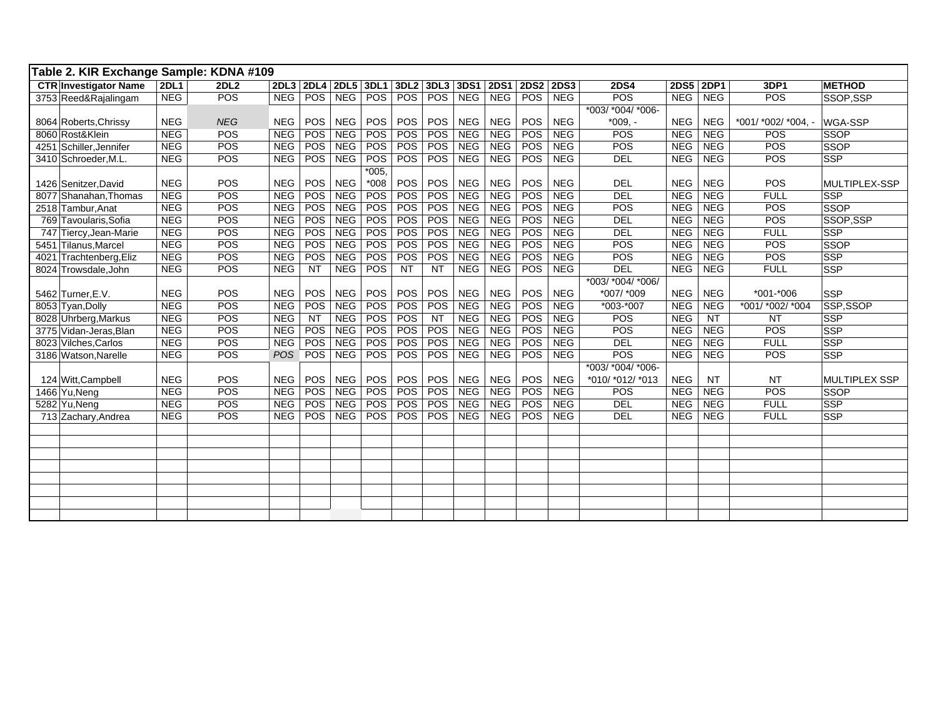| Table 2. KIR Exchange Sample: KDNA #109 |             |            |            |            |            |            |                  |            |            |             |            |            |                   |            |            |                            |                      |
|-----------------------------------------|-------------|------------|------------|------------|------------|------------|------------------|------------|------------|-------------|------------|------------|-------------------|------------|------------|----------------------------|----------------------|
| <b>CTR</b> Investigator Name            | <b>2DL1</b> | 2DL2       |            | 2DL3 2DL4  | 2DL5 3DL1  |            | 3DL <sub>2</sub> | 3DL3       | 3DS1       | <b>2DS1</b> | 2DS2 2DS3  |            | <b>2DS4</b>       | 2DS5 2DP1  |            | 3DP1                       | <b>METHOD</b>        |
| 3753 Reed&Rajalingam                    | <b>NEG</b>  | <b>POS</b> | <b>NEG</b> | POS        | <b>NEG</b> | POS        | POS              | <b>POS</b> | <b>NEG</b> | <b>NEG</b>  | POS        | <b>NEG</b> | POS               | NEG        | <b>NEG</b> | POS                        | SSOP, SSP            |
|                                         |             |            |            |            |            |            |                  |            |            |             |            |            | *003/ *004/ *006- |            |            |                            |                      |
| 8064 Roberts, Chrissy                   | <b>NEG</b>  | <b>NEG</b> | <b>NEG</b> | <b>POS</b> | <b>NEG</b> | <b>POS</b> | <b>POS</b>       | <b>POS</b> | <b>NEG</b> | <b>NEG</b>  | POS        | <b>NEG</b> | $*009. -$         | <b>NEG</b> | <b>NEG</b> | $*001/$ $*002/$ $*004$ , - | WGA-SSP              |
| 8060 Rost&Klein                         | NEG         | <b>POS</b> | NEG        | POS        | <b>NEG</b> | POS        | POS              | POS        | <b>NEG</b> | <b>NEG</b>  | POS        | <b>NEG</b> | POS               | <b>NEG</b> | NEG        | <b>POS</b>                 | <b>SSOP</b>          |
| 4251 Schiller, Jennifer                 | <b>NEG</b>  | POS        | <b>NEG</b> | POS        | <b>NEG</b> | POS        | POS              | <b>POS</b> | <b>NEG</b> | <b>NEG</b>  | POS        | <b>NEG</b> | POS               | <b>NEG</b> | <b>NEG</b> | POS                        | <b>SSOP</b>          |
| 3410 Schroeder, M.L.                    | NEG         | <b>POS</b> | NEG        | POS        | <b>NEG</b> | POS        | POS              | <b>POS</b> | <b>NEG</b> | <b>NEG</b>  | <b>POS</b> | <b>NEG</b> | <b>DEL</b>        | NEG        | NEG        | POS                        | <b>SSP</b>           |
|                                         |             |            |            |            |            | $*005.$    |                  |            |            |             |            |            |                   |            |            |                            |                      |
| 1426 Senitzer, David                    | <b>NEG</b>  | POS        | <b>NEG</b> | POS        | <b>NEG</b> | $*008$     | POS              | POS        | <b>NEG</b> | <b>NEG</b>  | POS        | <b>NEG</b> | <b>DEL</b>        | <b>NEG</b> | <b>NEG</b> | <b>POS</b>                 | MULTIPLEX-SSP        |
| 8077 Shanahan, Thomas                   | <b>NEG</b>  | POS        | <b>NEG</b> | POS        | <b>NEG</b> | POS        | POS              | POS        | <b>NEG</b> | <b>NEG</b>  | POS        | <b>NEG</b> | DEL               | <b>NEG</b> | <b>NEG</b> | <b>FULL</b>                | <b>SSP</b>           |
| 2518 Tambur, Anat                       | <b>NEG</b>  | POS        | <b>NEG</b> | POS        | NEG        | POS        | POS              | <b>POS</b> | <b>NEG</b> | <b>NEG</b>  | POS        | <b>NEG</b> | POS               | <b>NEG</b> | <b>NEG</b> | POS                        | <b>SSOP</b>          |
| 769 Tavoularis, Sofia                   | <b>NEG</b>  | POS        | <b>NEG</b> | POS        | <b>NEG</b> | POS        | POS              | <b>POS</b> | <b>NEG</b> | <b>NEG</b>  | <b>POS</b> | <b>NEG</b> | DEL               | <b>NEG</b> | NEG        | POS                        | SSOP, SSP            |
| 747 Tiercy, Jean-Marie                  | NEG         | POS        | <b>NEG</b> | POS        | NEG        | POS        | POS              | <b>POS</b> | <b>NEG</b> | <b>NEG</b>  | <b>POS</b> | <b>NEG</b> | DEL               | <b>NEG</b> | <b>NEG</b> | <b>FULL</b>                | <b>SSP</b>           |
| 5451 Tilanus, Marcel                    | <b>NEG</b>  | <b>POS</b> | <b>NEG</b> | POS        | <b>NEG</b> | POS        | POS              | <b>POS</b> | <b>NEG</b> | <b>NEG</b>  | <b>POS</b> | <b>NEG</b> | <b>POS</b>        | <b>NEG</b> | NEG        | POS                        | <b>SSOP</b>          |
| 4021 Trachtenberg, Eliz                 | <b>NEG</b>  | POS        | <b>NEG</b> | POS        | <b>NEG</b> | POS        | POS              | <b>POS</b> | <b>NEG</b> | <b>NEG</b>  | <b>POS</b> | <b>NEG</b> | POS               | <b>NEG</b> | <b>NEG</b> | POS                        | <b>SSP</b>           |
| 8024 Trowsdale, John                    | NEG         | POS        | <b>NEG</b> | <b>NT</b>  | <b>NEG</b> | POS        | NT               | <b>NT</b>  | <b>NEG</b> | <b>NEG</b>  | <b>POS</b> | <b>NEG</b> | <b>DEL</b>        | <b>NEG</b> | <b>NEG</b> | <b>FULL</b>                | <b>SSP</b>           |
|                                         |             |            |            |            |            |            |                  |            |            |             |            |            | *003/ *004/ *006/ |            |            |                            |                      |
| 5462 Turner, E.V.                       | <b>NEG</b>  | POS        | <b>NEG</b> | POS        | <b>NEG</b> | POS        | POS              | POS        | <b>NEG</b> | <b>NEG</b>  | POS        | <b>NEG</b> | *007/ *009        | <b>NEG</b> | <b>NEG</b> | $*001 - *006$              | <b>SSP</b>           |
| 8053 Tyan, Dolly                        | <b>NEG</b>  | POS        | <b>NEG</b> | POS        | <b>NEG</b> | POS        | POS              | <b>POS</b> | <b>NEG</b> | <b>NEG</b>  | <b>POS</b> | <b>NEG</b> | *003-*007         | <b>NEG</b> | <b>NEG</b> | *001/ *002/ *004           | SSP,SSOP             |
| 8028 Uhrberg, Markus                    | <b>NEG</b>  | POS        | <b>NEG</b> | <b>NT</b>  | <b>NEG</b> | POS        | POS              | <b>NT</b>  | <b>NEG</b> | <b>NEG</b>  | POS        | <b>NEG</b> | POS               | <b>NEG</b> | <b>NT</b>  | <b>NT</b>                  | <b>SSP</b>           |
| 3775 Vidan-Jeras, Blan                  | NEG         | <b>POS</b> | NEG        | <b>POS</b> | <b>NEG</b> | <b>POS</b> | POS              | <b>POS</b> | <b>NEG</b> | NEG         | <b>POS</b> | <b>NEG</b> | <b>POS</b>        | NEG        | <b>NEG</b> | POS                        | <b>SSP</b>           |
| 8023 Vilches, Carlos                    | <b>NEG</b>  | POS        | <b>NEG</b> | POS        | <b>NEG</b> | POS        | POS              | <b>POS</b> | <b>NEG</b> | <b>NEG</b>  | <b>POS</b> | <b>NEG</b> | <b>DEL</b>        | <b>NEG</b> | <b>NEG</b> | <b>FULL</b>                | <b>SSP</b>           |
| 3186 Watson, Narelle                    | <b>NEG</b>  | POS        | POS        | <b>POS</b> | <b>NEG</b> | POS        | POS              | <b>POS</b> | <b>NEG</b> | <b>NEG</b>  | <b>POS</b> | NEG        | POS               | <b>NEG</b> | <b>NEG</b> | POS                        | <b>SSP</b>           |
|                                         |             |            |            |            |            |            |                  |            |            |             |            |            | *003/ *004/ *006  |            |            |                            |                      |
| 124 Witt, Campbell                      | <b>NEG</b>  | <b>POS</b> | <b>NEG</b> | POS        | <b>NEG</b> | POS        | POS              | POS        | <b>NEG</b> | <b>NEG</b>  | POS        | <b>NEG</b> | *010/ *012/ *013  | <b>NEG</b> | <b>NT</b>  | <b>NT</b>                  | <b>MULTIPLEX SSP</b> |
| 1466 Yu, Neng                           | <b>NEG</b>  | POS        | <b>NEG</b> | POS        | NEG        | POS        | POS              | <b>POS</b> | <b>NEG</b> | <b>NEG</b>  | POS        | <b>NEG</b> | POS               | <b>NEG</b> | <b>NEG</b> | POS                        | <b>SSOP</b>          |
| 5282 Yu, Neng                           | <b>NEG</b>  | POS        | <b>NEG</b> | POS        | <b>NEG</b> | POS        | POS              | <b>POS</b> | <b>NEG</b> | <b>NEG</b>  | POS        | <b>NEG</b> | <b>DEL</b>        | <b>NEG</b> | <b>NEG</b> | <b>FULL</b>                | <b>SSP</b>           |
| 713 Zachary, Andrea                     | NEG         | <b>POS</b> | NEG        | <b>POS</b> | <b>NEG</b> | POS        | POS              | <b>POS</b> | <b>NEG</b> | <b>NEG</b>  | <b>POS</b> | <b>NEG</b> | DEL               | <b>NEG</b> | <b>NEG</b> | <b>FULL</b>                | <b>SSP</b>           |
|                                         |             |            |            |            |            |            |                  |            |            |             |            |            |                   |            |            |                            |                      |
|                                         |             |            |            |            |            |            |                  |            |            |             |            |            |                   |            |            |                            |                      |
|                                         |             |            |            |            |            |            |                  |            |            |             |            |            |                   |            |            |                            |                      |
|                                         |             |            |            |            |            |            |                  |            |            |             |            |            |                   |            |            |                            |                      |
|                                         |             |            |            |            |            |            |                  |            |            |             |            |            |                   |            |            |                            |                      |
|                                         |             |            |            |            |            |            |                  |            |            |             |            |            |                   |            |            |                            |                      |
|                                         |             |            |            |            |            |            |                  |            |            |             |            |            |                   |            |            |                            |                      |
|                                         |             |            |            |            |            |            |                  |            |            |             |            |            |                   |            |            |                            |                      |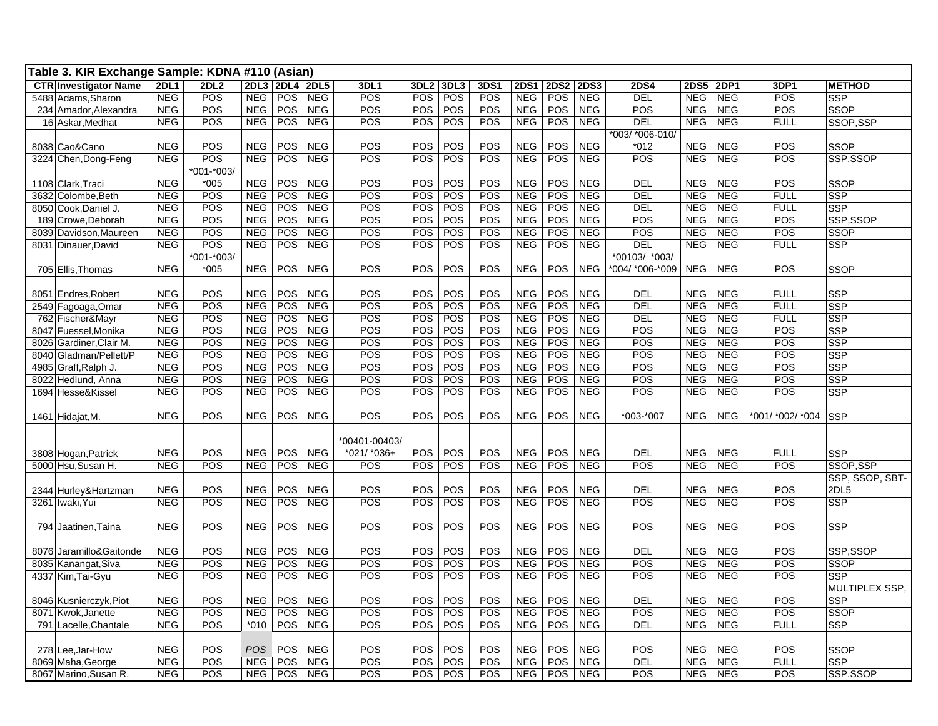| Table 3. KIR Exchange Sample: KDNA #110 (Asian) |             |                |            |                |            |               |            |            |      |             |             |             |                 |            |            |                  |                 |
|-------------------------------------------------|-------------|----------------|------------|----------------|------------|---------------|------------|------------|------|-------------|-------------|-------------|-----------------|------------|------------|------------------|-----------------|
| <b>CTR Investigator Name</b>                    | <b>2DL1</b> | <b>2DL2</b>    |            | 2DL3 2DL4 2DL5 |            | 3DL1          | 3DL2 3DL3  |            | 3DS1 | <b>2DS1</b> | <b>2DS2</b> | <b>2DS3</b> | <b>2DS4</b>     | 2DS5 2DP1  |            | 3DP1             | <b>METHOD</b>   |
| 5488 Adams, Sharon                              | <b>NEG</b>  | POS            | <b>NEG</b> | POS            | <b>NEG</b> | POS           | POS        | POS        | POS  | <b>NEG</b>  | POS         | <b>NEG</b>  | <b>DEL</b>      | <b>NEG</b> | <b>NEG</b> | POS              | <b>SSP</b>      |
| 234 Amador, Alexandra                           | <b>NEG</b>  | POS            | NEG        | <b>POS</b>     | <b>NEG</b> | POS           | <b>POS</b> | POS        | POS  | <b>NEG</b>  | POS         | <b>NEG</b>  | POS             | <b>NEG</b> | <b>NEG</b> | POS              | <b>SSOP</b>     |
| 16 Askar, Medhat                                | <b>NEG</b>  | POS            | NEG        | POS            | <b>NEG</b> | POS           | POS        | POS        | POS  | <b>NEG</b>  | POS         | <b>NEG</b>  | <b>DEL</b>      | NEG        | <b>NEG</b> | <b>FULL</b>      | SSOP,SSP        |
|                                                 |             |                |            |                |            |               |            |            |      |             |             |             | *003/ *006-010/ |            |            |                  |                 |
| 8038 Cao&Cano                                   | <b>NEG</b>  | POS            | <b>NEG</b> | POS            | <b>NEG</b> | POS           | POS        | POS        | POS  | <b>NEG</b>  | POS         | <b>NEG</b>  | $*012$          | <b>NEG</b> | <b>NEG</b> | POS              | <b>SSOP</b>     |
| 3224 Chen, Dong-Feng                            | <b>NEG</b>  | POS            | <b>NEG</b> | <b>POS</b>     | <b>NEG</b> | POS           | <b>POS</b> | POS        | POS  | <b>NEG</b>  | <b>POS</b>  | <b>NEG</b>  | <b>POS</b>      | NEG        | <b>NEG</b> | <b>POS</b>       | SSP,SSOP        |
|                                                 |             | $*001 - *003/$ |            |                |            |               |            |            |      |             |             |             |                 |            |            |                  |                 |
| 1108 Clark, Traci                               | <b>NEG</b>  | $*005$         | <b>NEG</b> | POS            | <b>NEG</b> | POS           | POS        | POS        | POS  | <b>NEG</b>  | POS         | <b>NEG</b>  | <b>DEL</b>      | <b>NEG</b> | <b>NEG</b> | POS              | <b>SSOP</b>     |
| 3632 Colombe, Beth                              | <b>NEG</b>  | POS            | <b>NEG</b> | POS            | <b>NEG</b> | POS           | POS        | POS        | POS  | <b>NEG</b>  | POS         | <b>NEG</b>  | <b>DEL</b>      | <b>NEG</b> | <b>NEG</b> | <b>FULL</b>      | <b>SSP</b>      |
| 8050 Cook,Daniel J.                             | <b>NEG</b>  | POS            | <b>NEG</b> | <b>POS</b>     | <b>NEG</b> | POS           | POS        | POS        | POS  | <b>NEG</b>  | POS         | <b>NEG</b>  | DEL             | <b>NEG</b> | <b>NEG</b> | <b>FULL</b>      | <b>SSP</b>      |
| 189 Crowe, Deborah                              | <b>NEG</b>  | POS            | <b>NEG</b> | POS            | <b>NEG</b> | POS           | POS        | POS        | POS  | <b>NEG</b>  | <b>POS</b>  | <b>NEG</b>  | POS             | <b>NEG</b> | NEG        | POS              | SSP,SSOP        |
| 8039 Davidson.Maureen                           | <b>NEG</b>  | POS            | <b>NEG</b> | POS            | <b>NEG</b> | POS           | POS        | POS        | POS  | <b>NEG</b>  | <b>POS</b>  | <b>NEG</b>  | POS             | <b>NEG</b> | <b>NEG</b> | POS              | SSOP            |
| 8031 Dinauer, David                             | <b>NEG</b>  | POS            | <b>NEG</b> | <b>POS</b>     | <b>NEG</b> | POS           | <b>POS</b> | POS        | POS  | <b>NEG</b>  | POS         | <b>NEG</b>  | DEL             | <b>NEG</b> | <b>NEG</b> | <b>FULL</b>      | <b>SSP</b>      |
|                                                 |             | $*001 - *003/$ |            |                |            |               |            |            |      |             |             |             | *00103/ *003/   |            |            |                  |                 |
| 705 Ellis, Thomas                               | <b>NEG</b>  | $*005$         | <b>NEG</b> | <b>POS</b>     | <b>NEG</b> | <b>POS</b>    | <b>POS</b> | POS        | POS  | <b>NEG</b>  | <b>POS</b>  | <b>NEG</b>  | *004/ *006-*009 | <b>NEG</b> | <b>NEG</b> | <b>POS</b>       | <b>SSOP</b>     |
|                                                 |             |                |            |                |            |               |            |            |      |             |             |             |                 |            |            |                  |                 |
| 8051 Endres, Robert                             | <b>NEG</b>  | POS            | <b>NEG</b> | <b>POS</b>     | <b>NEG</b> | POS           | POS        | POS        | POS  | <b>NEG</b>  | POS         | <b>NEG</b>  | <b>DEL</b>      | <b>NEG</b> | <b>NEG</b> | <b>FULL</b>      | SSP             |
| 2549 Fagoaga,Omar                               | <b>NEG</b>  | POS            | <b>NEG</b> | POS            | <b>NEG</b> | POS           | POS        | POS        | POS  | <b>NEG</b>  | POS         | <b>NEG</b>  | <b>DEL</b>      | <b>NEG</b> | <b>NEG</b> | <b>FULL</b>      | <b>SSP</b>      |
| 762 Fischer&Mayr                                | <b>NEG</b>  | POS            | <b>NEG</b> | POS            | <b>NEG</b> | POS           | POS        | POS        | POS  | <b>NEG</b>  | POS         | <b>NEG</b>  | DEL             | <b>NEG</b> | <b>NEG</b> | <b>FULL</b>      | <b>SSP</b>      |
| 8047 Fuessel, Monika                            | <b>NEG</b>  | POS            | <b>NEG</b> | POS            | <b>NEG</b> | POS           | POS        | POS        | POS  | <b>NEG</b>  | POS         | <b>NEG</b>  | POS             | <b>NEG</b> | <b>NEG</b> | POS              | <b>SSP</b>      |
| 8026 Gardiner, Clair M.                         | <b>NEG</b>  | POS            | <b>NEG</b> | <b>POS</b>     | <b>NEG</b> | POS           | POS        | POS        | POS  | <b>NEG</b>  | POS         | <b>NEG</b>  | POS             | <b>NEG</b> | <b>NEG</b> | POS              | <b>SSP</b>      |
| 8040 Gladman/Pellett/P                          | <b>NEG</b>  | POS            | <b>NEG</b> | POS            | <b>NEG</b> | POS           | POS        | POS        | POS  | <b>NEG</b>  | POS         | <b>NEG</b>  | POS             | <b>NEG</b> | <b>NEG</b> | POS              | SSP             |
| 4985 Graff, Ralph J.                            | <b>NEG</b>  | POS            | <b>NEG</b> | POS            | <b>NEG</b> | POS           | POS        | POS        | POS  | <b>NEG</b>  | POS         | <b>NEG</b>  | POS             | <b>NEG</b> | <b>NEG</b> | POS              | <b>SSP</b>      |
| 8022 Hedlund, Anna                              | <b>NEG</b>  | POS            | <b>NEG</b> | POS            | <b>NEG</b> | POS           | POS        | POS        | POS  | <b>NEG</b>  | POS         | <b>NEG</b>  | POS             | <b>NEG</b> | <b>NEG</b> | POS              | <b>SSP</b>      |
| 1694 Hesse&Kissel                               | <b>NEG</b>  | POS            | <b>NEG</b> | POS            | <b>NEG</b> | POS           | POS        | POS        | POS  | <b>NEG</b>  | POS         | <b>NEG</b>  | POS             | <b>NEG</b> | <b>NEG</b> | POS              | <b>SSP</b>      |
|                                                 |             |                |            |                |            |               |            |            |      |             |             |             |                 |            |            |                  |                 |
| 1461 Hidajat, M.                                | <b>NEG</b>  | POS            | <b>NEG</b> | <b>POS</b>     | <b>NEG</b> | POS           | POS        | POS        | POS  | <b>NEG</b>  | <b>POS</b>  | <b>NEG</b>  | *003-*007       | <b>NEG</b> | <b>NEG</b> | *001/ *002/ *004 | <b>SSP</b>      |
|                                                 |             |                |            |                |            |               |            |            |      |             |             |             |                 |            |            |                  |                 |
|                                                 |             |                |            |                |            | *00401-00403/ |            |            |      |             |             |             |                 |            |            |                  |                 |
| 3808 Hogan, Patrick                             | <b>NEG</b>  | POS            | <b>NEG</b> | <b>POS</b>     | <b>NEG</b> | *021/ *036+   | <b>POS</b> | POS        | POS  | <b>NEG</b>  | POS         | <b>NEG</b>  | <b>DEL</b>      | <b>NEG</b> | <b>NEG</b> | <b>FULL</b>      | <b>SSP</b>      |
| 5000 Hsu, Susan H.                              | <b>NEG</b>  | POS            | <b>NEG</b> | POS            | <b>NEG</b> | POS           | <b>POS</b> | <b>POS</b> | POS  | <b>NEG</b>  | POS         | <b>NEG</b>  | POS             | <b>NEG</b> | <b>NEG</b> | POS              | SSOP.SSP        |
|                                                 |             |                |            |                |            |               |            |            |      |             |             |             |                 |            |            |                  | SSP, SSOP, SBT- |
| 2344 Hurley&Hartzman                            | <b>NEG</b>  | POS            | <b>NEG</b> | POS            | <b>NEG</b> | POS           | POS        | POS        | POS  | <b>NEG</b>  | POS         | <b>NEG</b>  | <b>DEL</b>      | <b>NEG</b> | <b>NEG</b> | POS              | 2DL5            |
| 3261 Iwaki, Yui                                 | <b>NEG</b>  | POS            | <b>NEG</b> | <b>POS</b>     | <b>NEG</b> | POS           | POS        | POS        | POS  | <b>NEG</b>  | POS         | <b>NEG</b>  | POS             | <b>NEG</b> | <b>NEG</b> | POS              | <b>SSP</b>      |
|                                                 |             |                |            |                |            |               |            |            |      |             |             |             |                 |            |            |                  |                 |
| 794 Jaatinen, Taina                             | <b>NEG</b>  | POS            | <b>NEG</b> | <b>POS</b>     | <b>NEG</b> | POS           | POS        | POS        | POS  | <b>NEG</b>  | <b>POS</b>  | <b>NEG</b>  | POS             | <b>NEG</b> | <b>NEG</b> | POS              | <b>SSP</b>      |
|                                                 |             |                |            |                |            |               |            |            |      |             |             |             |                 |            |            |                  |                 |
| 8076 Jaramillo&Gaitonde                         | <b>NEG</b>  | POS            | <b>NEG</b> | POS            | <b>NEG</b> | POS           | POS        | POS        | POS  | <b>NEG</b>  | POS         | <b>NEG</b>  | <b>DEL</b>      | <b>NEG</b> | <b>NEG</b> | POS              | SSP,SSOP        |
| 8035 Kanangat, Siva                             | <b>NEG</b>  | POS            | <b>NEG</b> | POS            | <b>NEG</b> | POS           | POS        | POS        | POS  | <b>NEG</b>  | POS         | <b>NEG</b>  | POS             | <b>NEG</b> | <b>NEG</b> | POS              | <b>SSOP</b>     |
| 4337 Kim, Tai-Gyu                               | <b>NEG</b>  | POS            | <b>NEG</b> | POS            | <b>NEG</b> | POS           | POS        | POS        | POS  | <b>NEG</b>  | POS         | <b>NEG</b>  | POS             | <b>NEG</b> | <b>NEG</b> | POS              | <b>SSP</b>      |
|                                                 |             |                |            |                |            |               |            |            |      |             |             |             |                 |            |            |                  | MULTIPLEX SSP,  |
| 8046 Kusnierczyk, Piot                          | <b>NEG</b>  | POS            | <b>NEG</b> | <b>POS</b>     | <b>NEG</b> | POS           | POS        | POS        | POS  | <b>NEG</b>  | POS         | <b>NEG</b>  | <b>DEL</b>      | <b>NEG</b> | <b>NEG</b> | POS              | SSP             |
| 8071 Kwok,Janette                               | <b>NEG</b>  | POS            | <b>NEG</b> | POS            | <b>NEG</b> | POS           | POS        | POS        | POS  | <b>NEG</b>  | POS         | <b>NEG</b>  | POS             | <b>NEG</b> | <b>NEG</b> | POS              | <b>SSOP</b>     |
| 791 Lacelle, Chantale                           | <b>NEG</b>  | POS            | $*010$     | POS            | <b>NEG</b> | POS           | POS        | POS        | POS  | <b>NEG</b>  | POS         | <b>NEG</b>  | DEL             | <b>NEG</b> | <b>NEG</b> | <b>FULL</b>      | <b>SSP</b>      |
|                                                 |             |                |            |                |            |               |            |            |      |             |             |             |                 |            |            |                  |                 |
| 278 Lee, Jar-How                                | <b>NEG</b>  | POS            | <b>POS</b> | POS            | <b>NEG</b> | POS           | POS        | POS        | POS  | <b>NEG</b>  | POS         | <b>NEG</b>  | POS             | <b>NEG</b> | <b>NEG</b> | POS              | <b>SSOP</b>     |
| 8069 Maha, George                               | <b>NEG</b>  | POS            | <b>NEG</b> | POS            | <b>NEG</b> | POS           | POS        | POS        | POS  | <b>NEG</b>  | POS         | <b>NEG</b>  | <b>DEL</b>      | <b>NEG</b> | <b>NEG</b> | <b>FULL</b>      | <b>SSP</b>      |
| 8067 Marino, Susan R.                           | <b>NEG</b>  | POS            | <b>NEG</b> | POS            | <b>NEG</b> | POS           | <b>POS</b> | POS        | POS  | NEG         | POS         | <b>NEG</b>  | POS             | <b>NEG</b> | NEG        | POS              | SSP,SSOP        |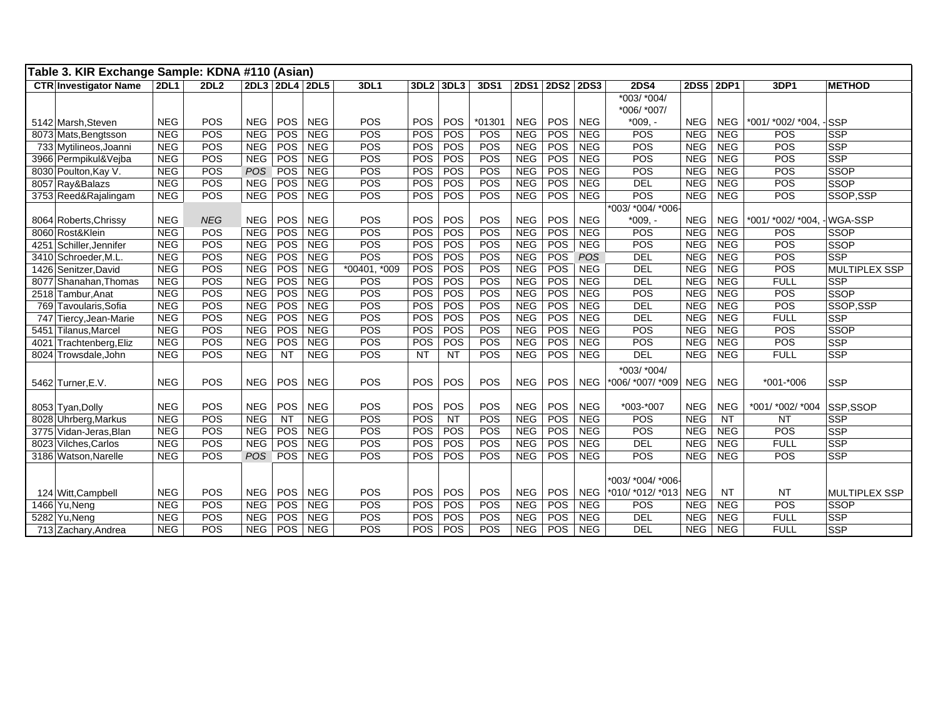| Table 3. KIR Exchange Sample: KDNA #110 (Asian) |             |             |            |                |            |              |            |           |        |             |            |            |                  |            |            |                        |                      |
|-------------------------------------------------|-------------|-------------|------------|----------------|------------|--------------|------------|-----------|--------|-------------|------------|------------|------------------|------------|------------|------------------------|----------------------|
| <b>CTR Investigator Name</b>                    | <b>2DL1</b> | <b>2DL2</b> |            | 2DL3 2DL4 2DL5 |            | 3DL1         | 3DL2 3DL3  |           | 3DS1   | <b>2DS1</b> |            | 2DS2 2DS3  | <b>2DS4</b>      |            | 2DS5 2DP1  | 3DP1                   | <b>METHOD</b>        |
|                                                 |             |             |            |                |            |              |            |           |        |             |            |            | *003/ *004/      |            |            |                        |                      |
|                                                 |             |             |            |                |            |              |            |           |        |             |            |            | *006/ *007/      |            |            |                        |                      |
| 5142 Marsh, Steven                              | <b>NEG</b>  | POS         | <b>NEG</b> | POS            | <b>NEG</b> | POS          | <b>POS</b> | POS       | *01301 | <b>NEG</b>  | POS        | <b>NEG</b> | $*009. -$        | <b>NEG</b> | <b>NEG</b> | *001/ *002/ *004, -SSP |                      |
| 8073 Mats, Bengtsson                            | <b>NEG</b>  | POS         | <b>NEG</b> | POS            | <b>NEG</b> | POS          | <b>POS</b> | POS       | POS    | <b>NEG</b>  | POS        | <b>NEG</b> | POS              | <b>NEG</b> | <b>NEG</b> | POS                    | <b>SSP</b>           |
| 733 Mytilineos, Joanni                          | <b>NEG</b>  | POS         | <b>NEG</b> | POS            | <b>NEG</b> | POS          | POS        | POS       | POS    | <b>NEG</b>  | POS        | <b>NEG</b> | POS              | <b>NEG</b> | <b>NEG</b> | POS                    | <b>SSP</b>           |
| 3966 Permpikul&Vejba                            | <b>NEG</b>  | POS         | <b>NEG</b> | POS            | <b>NEG</b> | POS          | <b>POS</b> | POS       | POS    | <b>NEG</b>  | POS        | <b>NEG</b> | POS              | <b>NEG</b> | <b>NEG</b> | POS                    | SSP                  |
| 8030 Poulton, Kay V.                            | <b>NEG</b>  | POS         | <b>POS</b> | POS            | <b>NEG</b> | POS          | <b>POS</b> | POS       | POS    | <b>NEG</b>  | POS        | <b>NEG</b> | POS              | <b>NEG</b> | <b>NEG</b> | POS                    | SSOP                 |
| 8057 Ray&Balazs                                 | <b>NEG</b>  | POS         | <b>NEG</b> | POS            | NEG        | POS          | POS        | POS       | POS    | <b>NEG</b>  | <b>POS</b> | <b>NEG</b> | DEL              | <b>NEG</b> | <b>NEG</b> | POS                    | SSOP                 |
| 3753 Reed&Rajalingam                            | <b>NEG</b>  | POS         | <b>NEG</b> | POS            | <b>NEG</b> | POS          | POS        | POS       | POS    | <b>NEG</b>  | <b>POS</b> | NEG        | POS              | <b>NEG</b> | <b>NEG</b> | POS                    | SSOP,SSP             |
|                                                 |             |             |            |                |            |              |            |           |        |             |            |            | *003/ *004/ *006 |            |            |                        |                      |
| 8064 Roberts, Chrissy                           | <b>NEG</b>  | <b>NEG</b>  | <b>NEG</b> | POS            | <b>NEG</b> | POS          | POS        | POS       | POS    | <b>NEG</b>  | POS        | <b>NEG</b> | $*009. -$        | <b>NEG</b> | <b>NEG</b> | *001/ *002/ *004,      | -WGA-SSP             |
| 8060 Rost&Klein                                 | <b>NEG</b>  | POS         | <b>NEG</b> | POS            | <b>NEG</b> | POS          | POS        | POS       | POS    | <b>NEG</b>  | POS        | <b>NEG</b> | POS              | <b>NEG</b> | <b>NEG</b> | POS                    | <b>SSOP</b>          |
| Schiller, Jennifer<br>4251                      | <b>NEG</b>  | POS         | <b>NEG</b> | POS            | <b>NEG</b> | <b>POS</b>   | POS        | POS       | POS    | <b>NEG</b>  | POS        | <b>NEG</b> | POS              | <b>NEG</b> | <b>NEG</b> | POS                    | SSOP                 |
| 3410 Schroeder, M.L                             | <b>NEG</b>  | POS         | <b>NEG</b> | POS            | <b>NEG</b> | POS          | <b>POS</b> | POS       | POS    | <b>NEG</b>  | <b>POS</b> | POS        | <b>DEL</b>       | <b>NEG</b> | <b>NEG</b> | POS                    | SSP                  |
| 1426 Senitzer, David                            | <b>NEG</b>  | POS         | NEG        | POS            | <b>NEG</b> | *00401, *009 | POS        | POS       | POS    | <b>NEG</b>  | POS        | <b>NEG</b> | DEL              | <b>NEG</b> | <b>NEG</b> | POS                    | <b>MULTIPLEX SSP</b> |
| 8077 Shanahan, Thomas                           | <b>NEG</b>  | POS         | <b>NEG</b> | POS            | <b>NEG</b> | POS          | <b>POS</b> | POS       | POS    | <b>NEG</b>  | <b>POS</b> | <b>NEG</b> | <b>DEL</b>       | <b>NEG</b> | <b>NEG</b> | <b>FULL</b>            | <b>SSP</b>           |
| 2518 Tambur, Anat                               | <b>NEG</b>  | POS         | <b>NEG</b> | POS            | <b>NEG</b> | POS          | POS        | POS       | POS    | <b>NEG</b>  | POS        | <b>NEG</b> | POS              | <b>NEG</b> | <b>NEG</b> | POS                    | <b>SSOP</b>          |
| 769 Tavoularis, Sofia                           | <b>NEG</b>  | POS         | <b>NEG</b> | POS            | <b>NEG</b> | POS          | <b>POS</b> | POS       | POS    | <b>NEG</b>  | <b>POS</b> | <b>NEG</b> | <b>DEL</b>       | <b>NEG</b> | <b>NEG</b> | POS                    | SSOP.SSP             |
| 747 Tiercy, Jean-Marie                          | <b>NEG</b>  | POS         | <b>NEG</b> | POS            | NEG        | POS          | POS        | POS       | POS    | <b>NEG</b>  | POS        | <b>NEG</b> | <b>DEL</b>       | <b>NEG</b> | <b>NEG</b> | <b>FULL</b>            | <b>SSP</b>           |
| 5451 Tilanus.Marcel                             | <b>NEG</b>  | POS         | <b>NEG</b> | POS            | <b>NEG</b> | POS          | POS        | POS       | POS    | <b>NEG</b>  | POS        | <b>NEG</b> | POS              | <b>NEG</b> | <b>NEG</b> | POS                    | SSOP                 |
| 4021 Trachtenberg, Eliz                         | <b>NEG</b>  | POS         | <b>NEG</b> | POS            | <b>NEG</b> | POS          | POS        | POS       | POS    | <b>NEG</b>  | POS        | <b>NEG</b> | POS              | <b>NEG</b> | <b>NEG</b> | POS                    | SSP                  |
| 8024 Trowsdale, John                            | <b>NEG</b>  | POS         | <b>NEG</b> | NT             | <b>NEG</b> | POS          | <b>NT</b>  | <b>NT</b> | POS    | <b>NEG</b>  | POS        | <b>NEG</b> | <b>DEL</b>       | <b>NEG</b> | <b>NEG</b> | <b>FULL</b>            | <b>SSP</b>           |
|                                                 |             |             |            |                |            |              |            |           |        |             |            |            | *003/ *004/      |            |            |                        |                      |
| 5462 Turner, E.V.                               | <b>NEG</b>  | POS         | <b>NEG</b> | <b>POS</b>     | <b>NEG</b> | POS          | <b>POS</b> | POS       | POS    | <b>NEG</b>  | POS        | <b>NEG</b> | *006/ *007/ *009 | <b>NEG</b> | <b>NEG</b> | $*001 - *006$          | <b>SSP</b>           |
|                                                 |             |             |            |                |            |              |            |           |        |             |            |            |                  |            |            |                        |                      |
| 8053 Tyan, Dolly                                | <b>NEG</b>  | POS         | <b>NEG</b> | POS            | <b>NEG</b> | POS          | POS        | POS       | POS    | <b>NEG</b>  | POS        | <b>NEG</b> | *003-*007        | <b>NEG</b> | <b>NEG</b> | *001/ *002/ *004       | SSP,SSOP             |
| 8028 Uhrberg, Markus                            | <b>NEG</b>  | POS         | <b>NEG</b> | <b>NT</b>      | <b>NEG</b> | POS          | POS        | <b>NT</b> | POS    | <b>NEG</b>  | POS        | <b>NEG</b> | POS              | <b>NEG</b> | <b>NT</b>  | <b>NT</b>              | SSP                  |
| 3775 Vidan-Jeras, Blan                          | <b>NEG</b>  | POS         | <b>NEG</b> | POS            | <b>NEG</b> | POS          | POS        | POS       | POS    | <b>NEG</b>  | POS        | <b>NEG</b> | POS              | <b>NEG</b> | <b>NEG</b> | POS                    | SSP                  |
| 8023 Vilches, Carlos                            | <b>NEG</b>  | POS         | <b>NEG</b> | POS            | <b>NEG</b> | POS          | POS        | POS       | POS    | <b>NEG</b>  | POS        | <b>NEG</b> | <b>DEL</b>       | <b>NEG</b> | <b>NEG</b> | <b>FULL</b>            | <b>SSP</b>           |
| 3186 Watson, Narelle                            | <b>NEG</b>  | POS         | <b>POS</b> | POS            | <b>NEG</b> | POS          | POS        | POS       | POS    | <b>NEG</b>  | POS        | <b>NEG</b> | POS              | <b>NEG</b> | <b>NEG</b> | POS                    | <b>SSP</b>           |
|                                                 |             |             |            |                |            |              |            |           |        |             |            |            |                  |            |            |                        |                      |
|                                                 |             |             |            |                |            |              |            |           |        |             |            |            | *003/ *004/ *006 |            |            |                        |                      |
| 124 Witt, Campbell                              | <b>NEG</b>  | POS         | <b>NEG</b> | POS            | <b>NEG</b> | POS          | POS        | POS       | POS    | <b>NEG</b>  | <b>POS</b> | <b>NEG</b> | *010/ *012/ *013 | <b>NEG</b> | <b>NT</b>  | <b>NT</b>              | <b>MULTIPLEX SSP</b> |
| 1466 Yu, Neng                                   | <b>NEG</b>  | POS         | <b>NEG</b> | POS            | <b>NEG</b> | POS          | POS        | POS       | POS    | <b>NEG</b>  | POS        | <b>NEG</b> | POS              | <b>NEG</b> | <b>NEG</b> | POS                    | <b>SSOP</b>          |
| 5282 Yu, Neng                                   | <b>NEG</b>  | POS         | <b>NEG</b> | POS            | <b>NEG</b> | POS          | POS        | POS       | POS    | <b>NEG</b>  | POS        | <b>NEG</b> | <b>DEL</b>       | <b>NEG</b> | <b>NEG</b> | <b>FULL</b>            | <b>SSP</b>           |
| 713 Zachary, Andrea                             | <b>NEG</b>  | POS         | <b>NEG</b> | POS            | <b>NEG</b> | POS          | POS        | POS       | POS    | <b>NEG</b>  | POS        | <b>NEG</b> | DEL              | <b>NEG</b> | <b>NEG</b> | <b>FULL</b>            | SSP                  |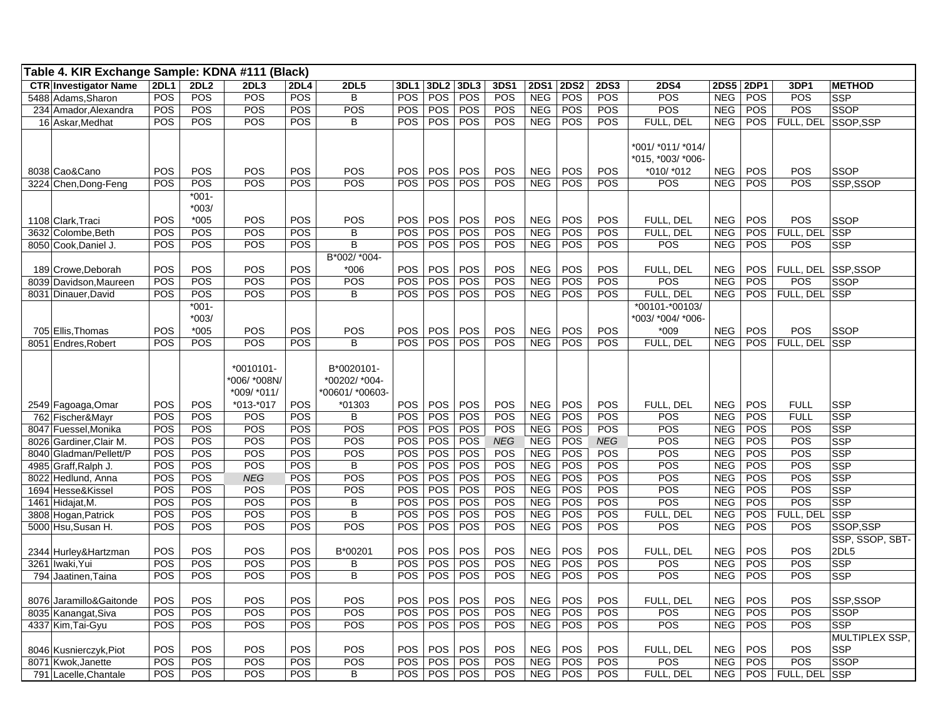| Table 4. KIR Exchange Sample: KDNA #111 (Black) |             |                               |                             |                          |                               |                          |                   |            |            |                          |             |             |                                                      |                          |                   |                         |                              |
|-------------------------------------------------|-------------|-------------------------------|-----------------------------|--------------------------|-------------------------------|--------------------------|-------------------|------------|------------|--------------------------|-------------|-------------|------------------------------------------------------|--------------------------|-------------------|-------------------------|------------------------------|
| <b>CTR Investigator Name</b>                    | <b>2DL1</b> | <b>2DL2</b>                   | 2DL3                        | <b>2DL4</b>              | <b>2DL5</b>                   | 3DL1                     | 3DL <sub>2</sub>  | 3DL3       | 3DS1       | <b>2DS1</b>              | <b>2DS2</b> | <b>2DS3</b> | <b>2DS4</b>                                          | 2DS5                     | <b>2DP1</b>       | 3DP1                    | <b>METHOD</b>                |
| 5488 Adams, Sharon                              | <b>POS</b>  | POS                           | POS                         | <b>POS</b>               | B                             | <b>POS</b>               | <b>POS</b>        | POS        | POS        | <b>NEG</b>               | POS         | POS         | POS                                                  | <b>NEG</b>               | POS               | POS                     | <b>SSP</b>                   |
| 234 Amador, Alexandra                           | POS         | POS                           | POS                         | POS                      | POS                           | <b>POS</b>               | <b>POS</b>        | POS        | <b>POS</b> | <b>NEG</b>               | <b>POS</b>  | POS         | POS                                                  | <b>NEG</b>               | POS               | POS                     | <b>SSOP</b>                  |
| 16 Askar, Medhat                                | POS         | POS                           | POS                         | <b>POS</b>               | B                             | <b>POS</b>               | POS               | POS        | POS        | <b>NEG</b>               | POS         | POS         | FULL, DEL                                            | <b>NEG</b>               | <b>POS</b>        | FULL, DEL SSOP, SSP     |                              |
| 8038 Cao&Cano                                   | POS         | POS                           | POS                         | POS                      | POS                           | POS                      | POS               | POS        | POS        | <b>NEG</b>               | POS         | POS         | *001/ *011/ *014/<br>*015, *003/ *006-<br>*010/ *012 | <b>NEG</b>               | POS               | POS                     | <b>SSOP</b>                  |
| 3224 Chen, Dong-Feng                            | POS         | POS                           | POS                         | POS                      | POS                           | POS                      | POS               | POS        | POS        | <b>NEG</b>               | POS         | <b>POS</b>  | POS                                                  | <b>NEG</b>               | POS               | POS                     | SSP,SSOP                     |
| 1108 Clark, Traci                               | POS         | $*001 -$<br>$*003/$<br>$*005$ | POS                         | POS                      | POS                           | POS                      | <b>POS</b>        | POS        | <b>POS</b> | <b>NEG</b>               | POS         | POS         | FULL. DEL                                            | <b>NEG</b>               | POS               | POS                     | <b>SSOP</b>                  |
| 3632 Colombe.Beth                               | POS         | POS                           | POS                         | <b>POS</b>               | B                             | POS                      | POS               | POS        | POS        | <b>NEG</b>               | POS         | POS         | FULL, DEL                                            | <b>NEG</b>               | POS               | FULL, DEL               | <b>SSP</b>                   |
| 8050 Cook,Daniel J.                             | POS         | POS                           | POS                         | POS                      | B                             | <b>POS</b>               | POS               | POS        | POS        | <b>NEG</b>               | POS         | POS         | <b>POS</b>                                           | <b>NEG</b>               | POS               | POS                     | <b>SSP</b>                   |
| 189 Crowe, Deborah<br>8039 Davidson, Maureen    | POS<br>POS  | POS<br>POS                    | POS<br>POS                  | <b>POS</b><br><b>POS</b> | B*002/ *004-<br>$*006$<br>POS | POS<br>POS               | <b>POS</b><br>POS | POS<br>POS | POS<br>POS | <b>NEG</b><br><b>NEG</b> | POS<br>POS  | POS<br>POS  | FULL, DEL<br>POS                                     | <b>NEG</b><br><b>NEG</b> | <b>POS</b><br>POS | FULL, DEL<br>POS        | SSP,SSOP<br>SSOP             |
| 8031 Dinauer, David                             | POS         | POS                           | POS                         | <b>POS</b>               | B                             | <b>POS</b>               | POS               | POS        | POS        | <b>NEG</b>               | <b>POS</b>  | POS         | FULL, DEL                                            | <b>NEG</b>               | <b>POS</b>        | FULL, DEL SSP           |                              |
|                                                 |             | $*001 -$<br>$*003/$           |                             |                          |                               |                          |                   |            |            |                          |             |             | *00101-*00103/<br>*003/ *004/ *006-                  |                          |                   |                         |                              |
| 705 Ellis, Thomas<br>8051 Endres, Robert        | POS<br>POS  | $*005$<br>POS                 | POS<br>POS                  | <b>POS</b><br><b>POS</b> | POS<br>B                      | <b>POS</b><br><b>POS</b> | POS<br>POS        | POS<br>POS | POS<br>POS | <b>NEG</b><br><b>NEG</b> | POS<br>POS  | POS<br>POS  | $*009$<br>FULL, DEL                                  | <b>NEG</b><br><b>NEG</b> | POS<br>POS        | <b>POS</b><br>FULL, DEL | <b>SSOP</b><br><b>SSP</b>    |
|                                                 |             |                               | $*0010101 -$<br>*006/*008N/ |                          | B*0020101-<br>*00202/ *004-   |                          |                   |            |            |                          |             |             |                                                      |                          |                   |                         |                              |
|                                                 |             |                               | *009/ *011/                 |                          | *00601/*00603-                |                          |                   |            |            |                          |             |             |                                                      |                          |                   |                         |                              |
| 2549 Fagoaga, Omar                              | POS         | POS                           | $*013.*017$                 | POS                      | *01303                        | <b>POS</b>               | <b>POS</b>        | <b>POS</b> | <b>POS</b> | <b>NEG</b>               | <b>POS</b>  | POS         | FULL, DEL                                            | <b>NEG</b>               | POS               | <b>FULL</b>             | <b>SSP</b>                   |
| 762 Fischer&Mayr                                | POS         | POS                           | POS                         | <b>POS</b>               | B                             | <b>POS</b>               | <b>POS</b>        | POS        | <b>POS</b> | <b>NEG</b>               | POS         | POS         | POS                                                  | <b>NEG</b>               | POS               | <b>FULL</b>             | <b>SSP</b>                   |
| 8047 Fuessel, Monika                            | POS         | POS                           | POS                         | <b>POS</b>               | <b>POS</b>                    | <b>POS</b>               | POS               | POS        | POS        | <b>NEG</b>               | POS         | POS         | POS                                                  | <b>NEG</b>               | POS               | POS                     | <b>SSP</b>                   |
| 8026 Gardiner, Clair M.                         | POS         | POS                           | POS                         | POS                      | POS                           | <b>POS</b>               | POS               | POS        | <b>NEG</b> | <b>NEG</b>               | POS         | <b>NEG</b>  | POS                                                  | <b>NEG</b>               | POS               | POS                     | <b>SSP</b>                   |
| 8040 Gladman/Pellett/P                          | POS         | POS                           | POS                         | POS                      | POS                           | <b>POS</b>               | POS               | POS        | POS        | <b>NEG</b>               | POS         | POS         | POS                                                  | <b>NEG</b>               | POS               | POS                     | <b>SSP</b>                   |
| 4985 Graff, Ralph J                             | POS         | POS                           | POS                         | POS                      | B                             | POS                      | POS               | POS        | POS        | <b>NEG</b>               | POS         | POS         | POS                                                  | <b>NEG</b>               | POS               | POS                     | <b>SSP</b>                   |
| 8022 Hedlund, Anna                              | POS         | POS                           | <b>NEG</b>                  | POS                      | POS                           | <b>POS</b>               | POS               | <b>POS</b> | <b>POS</b> | <b>NEG</b>               | POS         | POS         | POS                                                  | <b>NEG</b>               | POS               | POS                     | <b>SSP</b>                   |
| 1694 Hesse&Kissel                               | POS         | POS                           | POS                         | <b>POS</b>               | POS                           | <b>POS</b>               | POS               | POS        | POS        | <b>NEG</b>               | POS         | POS         | POS                                                  | <b>NEG</b>               | POS               | POS                     | <b>SSP</b>                   |
| 1461 Hidajat,M.                                 | POS         | POS                           | POS                         | <b>POS</b>               | B                             | POS                      | POS               | POS        | <b>POS</b> | <b>NEG</b>               | POS         | POS         | $\overline{POS}$                                     | <b>NEG</b>               | POS               | POS                     | <b>SSP</b>                   |
| 3808 Hogan, Patrick                             | POS         | POS                           | POS                         | <b>POS</b>               | B                             | POS                      | POS               | POS        | POS        | <b>NEG</b>               | POS         | POS         | FULL, DEL                                            | <b>NEG</b>               | POS               | FULL, DEL               | <b>SSP</b>                   |
| 5000 Hsu, Susan H.                              | POS         | POS                           | POS                         | POS                      | POS                           | <b>POS</b>               | POS               | POS        | POS        | <b>NEG</b>               | POS         | POS         | POS                                                  | <b>NEG</b>               | POS               | POS                     | SSOP,SSP                     |
| 2344 Hurley& Hartzman                           | POS         | POS                           | POS                         | POS                      | B*00201                       | POS                      | POS               | POS        | POS        | <b>NEG</b>               | POS         | POS         | FULL, DEL                                            | <b>NEG</b>               | POS               | POS                     | SSP, SSOP, SBT-<br>2DL5      |
| 3261 Iwaki, Yui                                 | POS         | POS                           | POS                         | POS                      | В                             | <b>POS</b>               | POS               | POS        | POS        | <b>NEG</b>               | POS         | POS         | POS                                                  | <b>NEG</b>               | POS               | POS                     | <b>SSP</b>                   |
| 794 Jaatinen, Taina                             | POS         | POS                           | POS                         | <b>POS</b>               | B                             | POS                      | POS               | POS        | POS        | <b>NEG</b>               | POS         | POS         | POS                                                  | <b>NEG</b>               | POS               | POS                     | <b>SSP</b>                   |
| 8076 Jaramillo&Gaitonde<br>8035 Kanangat, Siva  | POS<br>POS  | POS<br>POS                    | POS<br>POS                  | POS<br>POS               | POS<br>POS                    | POS<br><b>POS</b>        | POS<br>POS        | POS<br>POS | POS<br>POS | <b>NEG</b><br><b>NEG</b> | POS<br>POS  | POS<br>POS  | FULL, DEL<br>POS                                     | <b>NEG</b><br><b>NEG</b> | POS<br>POS        | POS<br>POS              | SSP,SSOP<br><b>SSOP</b>      |
| 4337 Kim, Tai-Gyu                               | POS         | POS                           | POS                         | POS                      | POS                           | POS                      | POS               | POS        | POS        | <b>NEG</b>               | POS         | POS         | POS                                                  | <b>NEG</b>               | POS               | POS                     | <b>SSP</b>                   |
| 8046 Kusnierczyk, Piot                          | POS         | POS                           | POS                         | POS                      | POS                           | POS                      | POS               | POS        | POS        | <b>NEG</b>               | POS         | POS         | FULL, DEL                                            | <b>NEG</b>               | POS               | POS                     | MULTIPLEX SSP,<br><b>SSP</b> |
| 8071 Kwok, Janette                              | POS         | POS                           | POS                         | <b>POS</b>               | POS                           | POS                      | POS               | POS        | POS        | <b>NEG</b>               | POS         | POS         | POS                                                  | <b>NEG</b>               | POS               | POS                     | <b>SSOP</b>                  |
| 791 Lacelle, Chantale                           | POS         | POS                           | POS                         | POS                      | B                             | <b>POS</b>               | <b>POS</b>        | <b>POS</b> | <b>POS</b> | <b>NEG</b>               | POS         | POS         | FULL. DEL                                            | <b>NEG</b>               | POS               | FULL, DEL               | <b>SSP</b>                   |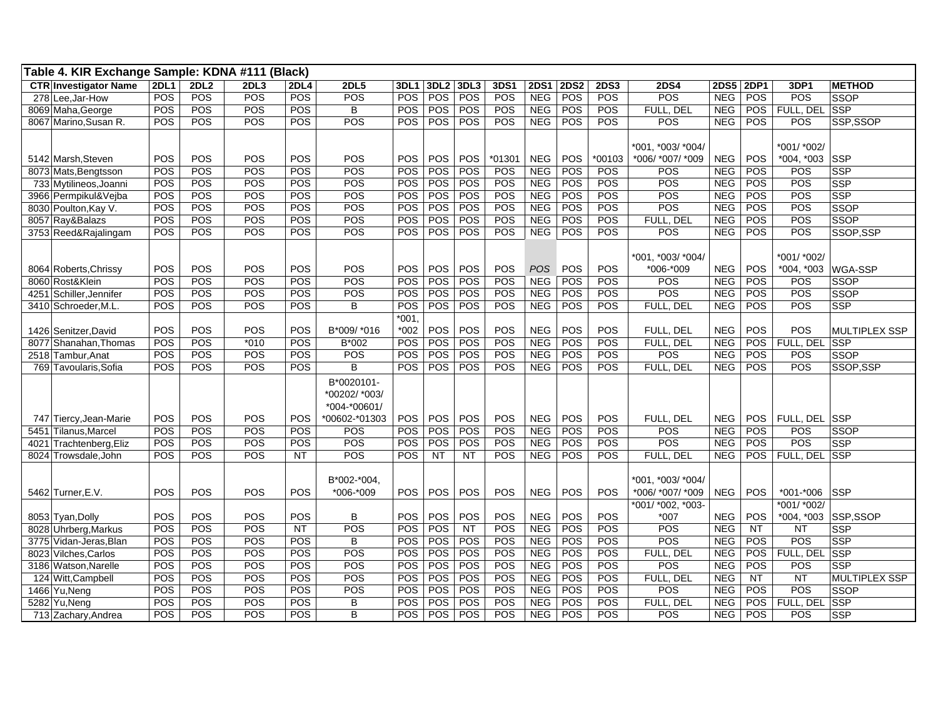| Table 4. KIR Exchange Sample: KDNA #111 (Black) |             |      |        |             |               |            |                  |            |             |             |             |             |                   |             |             |               |                |
|-------------------------------------------------|-------------|------|--------|-------------|---------------|------------|------------------|------------|-------------|-------------|-------------|-------------|-------------------|-------------|-------------|---------------|----------------|
| <b>CTR</b> Investigator Name                    | <b>2DL1</b> | 2DL2 | 2DL3   | <b>2DL4</b> | <b>2DL5</b>   | 3DL1       | 3DL <sub>2</sub> | 3DL3       | <b>3DS1</b> | <b>2DS1</b> | <b>2DS2</b> | <b>2DS3</b> | <b>2DS4</b>       | <b>2DS5</b> | <b>2DP1</b> | 3DP1          | <b>METHOD</b>  |
| 278 Lee, Jar-How                                | POS         | POS  | POS    | POS         | POS           | POS        | POS              | POS        | POS         | <b>NEG</b>  | POS         | POS         | POS               | <b>NEG</b>  | POS         | POS           | <b>SSOP</b>    |
| 8069 Maha, George                               | POS         | POS  | POS    | POS         | B             | POS        | POS              | POS        | POS         | <b>NEG</b>  | POS         | POS         | FULL, DEL         | <b>NEG</b>  | POS         | FULL, DEL     | SSP            |
| 8067 Marino, Susan R.                           | POS         | POS  | POS    | POS         | POS           | <b>POS</b> | POS              | POS        | <b>POS</b>  | NEG         | POS         | POS         | POS               | <b>NEG</b>  | POS         | POS           | SSP,SSOP       |
|                                                 |             |      |        |             |               |            |                  |            |             |             |             |             |                   |             |             |               |                |
|                                                 |             |      |        |             |               |            |                  |            |             |             |             |             | *001, *003/ *004/ |             |             | *001/ *002/   |                |
| 5142 Marsh.Steven                               | POS         | POS  | POS    | POS         | POS           | POS        | POS              | POS        | *01301      | <b>NEG</b>  | POS         | *00103      | *006/ *007/ *009  | <b>NEG</b>  | POS         | *004, *003    | <b>SSP</b>     |
| 8073 Mats, Bengtsson                            | POS         | POS  | POS    | POS         | POS           | POS        | POS              | POS        | POS         | <b>NEG</b>  | POS         | POS         | POS               | <b>NEG</b>  | POS         | POS           | <b>SSP</b>     |
| 733 Mytilineos, Joanni                          | POS         | POS  | POS    | <b>POS</b>  | POS           | <b>POS</b> | POS              | POS        | POS         | <b>NEG</b>  | POS         | POS         | POS               | <b>NEG</b>  | POS         | POS           | <b>SSP</b>     |
| 3966 Permpikul&Vejba                            | POS         | POS  | POS    | POS         | POS           | POS        | POS              | POS        | POS         | <b>NEG</b>  | POS         | POS         | POS               | <b>NEG</b>  | POS         | POS           | <b>SSP</b>     |
| 8030 Poulton, Kay V.                            | POS         | POS  | POS    | POS         | POS           | POS        | POS              | POS        | POS         | <b>NEG</b>  | POS         | POS         | POS               | <b>NEG</b>  | POS         | POS           | <b>SSOP</b>    |
| 8057 Ray&Balazs                                 | POS         | POS  | POS    | POS         | POS           | POS        | POS              | POS        | POS         | <b>NEG</b>  | POS         | POS         | FULL, DEL         | <b>NEG</b>  | POS         | POS           | <b>SSOP</b>    |
| 3753 Reed&Rajalingam                            | POS         | POS  | POS    | POS         | POS           | <b>POS</b> | POS              | POS        | POS         | <b>NEG</b>  | POS         | POS         | POS               | <b>NEG</b>  | <b>POS</b>  | POS           | SSOP, SSP      |
|                                                 |             |      |        |             |               |            |                  |            |             |             |             |             |                   |             |             |               |                |
|                                                 |             |      |        |             |               |            |                  |            |             |             |             |             | *001, *003/ *004/ |             |             | *001/ *002/   |                |
| 8064 Roberts, Chrissy                           | POS         | POS  | POS    | POS         | POS           | <b>POS</b> | <b>POS</b>       | POS        | POS         | <b>POS</b>  | POS         | POS         | *006-*009         | <b>NEG</b>  | POS         | *004, *003    | <b>WGA-SSP</b> |
| 8060 Rost&Klein                                 | POS         | POS  | POS    | POS         | POS           | POS        | POS              | POS        | POS         | <b>NEG</b>  | POS         | POS         | POS               | <b>NEG</b>  | POS         | POS           | <b>SSOP</b>    |
| 4251 Schiller, Jennifer                         | POS         | POS  | POS    | POS         | POS           | POS        | POS              | POS        | <b>POS</b>  | <b>NEG</b>  | POS         | POS         | POS               | <b>NEG</b>  | POS         | POS           | <b>SSOP</b>    |
| 3410 Schroeder, M.L.                            | POS         | POS  | POS    | POS         | B             | POS        | POS              | POS        | POS         | NEG         | POS         | POS         | FULL, DEL         | <b>NEG</b>  | <b>POS</b>  | POS           | <b>SSP</b>     |
|                                                 |             |      |        |             |               | $*001$     |                  |            |             |             |             |             |                   |             |             |               |                |
| 1426 Senitzer, David                            | POS         | POS  | POS    | POS         | B*009/ *016   | *002       | POS              | POS        | POS         | <b>NEG</b>  | POS         | POS         | FULL, DEL         | <b>NEG</b>  | POS         | POS           | MULTIPLEX SSP  |
| 8077 Shanahan, Thomas                           | POS         | POS  | $*010$ | POS         | B*002         | POS        | POS              | POS        | POS         | <b>NEG</b>  | POS         | POS         | FULL, DEL         | <b>NEG</b>  | POS         | FULL, DEL     | <b>SSP</b>     |
| 2518 Tambur, Anat                               | POS         | POS  | POS    | POS         | POS           | POS        | POS              | POS        | POS         | <b>NEG</b>  | POS         | POS         | POS               | <b>NEG</b>  | POS         | POS           | <b>SSOP</b>    |
| 769 Tavoularis, Sofia                           | POS         | POS  | POS    | <b>POS</b>  | <sub>B</sub>  | <b>POS</b> | POS              | POS        | POS         | <b>NEG</b>  | POS         | POS         | FULL, DEL         | <b>NEG</b>  | <b>POS</b>  | POS           | SSOP,SSP       |
|                                                 |             |      |        |             | B*0020101-    |            |                  |            |             |             |             |             |                   |             |             |               |                |
|                                                 |             |      |        |             | *00202/ *003/ |            |                  |            |             |             |             |             |                   |             |             |               |                |
|                                                 |             |      |        |             | *004-*00601/  |            |                  |            |             |             |             |             |                   |             |             |               |                |
| 747 Tiercy, Jean-Marie                          | POS         | POS  | POS    | POS         | *00602-*01303 | <b>POS</b> | POS              | <b>POS</b> | <b>POS</b>  | <b>NEG</b>  | POS         | POS         | FULL, DEL         | <b>NEG</b>  | POS         | FULL, DEL     | <b>SSP</b>     |
| 5451 Tilanus, Marcel                            | POS         | POS  | POS    | POS         | POS           | POS        | POS              | POS        | POS         | <b>NEG</b>  | POS         | POS         | POS               | <b>NEG</b>  | POS         | POS           | <b>SSOP</b>    |
| Trachtenberg, Eliz<br>4021                      | POS         | POS  | POS    | POS         | POS           | POS        | POS              | POS        | POS         | <b>NEG</b>  | POS         | POS         | POS               | <b>NEG</b>  | POS         | POS           | <b>SSP</b>     |
| 8024 Trowsdale, John                            | POS         | POS  | POS    | <b>NT</b>   | POS           | <b>POS</b> | NT               | NT         | POS         | <b>NEG</b>  | POS         | POS         | FULL, DEL         | <b>NEG</b>  | <b>POS</b>  | FULL, DEL SSP |                |
|                                                 |             |      |        |             |               |            |                  |            |             |             |             |             |                   |             |             |               |                |
|                                                 |             |      |        |             | B*002-*004.   |            |                  |            |             |             |             |             | *001, *003/ *004/ |             |             |               |                |
| 5462 Turner, E.V.                               | POS         | POS  | POS    | POS         | *006-*009     | <b>POS</b> | POS              | POS        | POS         | <b>NEG</b>  | POS         | POS         | *006/ *007/ *009  | <b>NEG</b>  | POS         | *001-*006     | <b>SSP</b>     |
|                                                 |             |      |        |             |               |            |                  |            |             |             |             |             | *001/ *002, *003- |             |             | *001/ *002/   |                |
| 8053 Tyan, Dolly                                | POS         | POS  | POS    | POS         | B             | POS        | POS              | POS        | POS         | <b>NEG</b>  | POS         | POS         | $*007$            | <b>NEG</b>  | <b>POS</b>  | $*004, *003$  | SSP,SSOP       |
| 8028 Uhrberg, Markus                            | POS         | POS  | POS    | <b>NT</b>   | POS           | POS        | POS              | <b>NT</b>  | POS         | <b>NEG</b>  | POS         | POS         | POS               | <b>NEG</b>  | NT          | <b>NT</b>     | <b>SSP</b>     |
| 3775 Vidan-Jeras, Blan                          | POS         | POS  | POS    | POS         | B             | POS        | POS              | POS        | POS         | <b>NEG</b>  | POS         | POS         | POS               | NEG         | POS         | POS           | <b>SSP</b>     |
| 8023 Vilches, Carlos                            | POS         | POS  | POS    | POS         | POS           | POS        | POS              | POS        | POS         | <b>NEG</b>  | POS         | POS         | FULL, DEL         | <b>NEG</b>  | POS         | FULL, DEL     | <b>SSP</b>     |
| 3186 Watson, Narelle                            | POS         | POS  | POS    | POS         | POS           | POS        | POS              | POS        | POS         | <b>NEG</b>  | POS         | POS         | POS               | NEG         | POS         | POS           | <b>SSP</b>     |
| 124 Witt, Campbell                              | POS         | POS  | POS    | POS         | POS           | POS        | POS              | POS        | POS         | <b>NEG</b>  | POS         | POS         | FULL, DEL         | <b>NEG</b>  | NT          | NT            | MULTIPLEX SSP  |
| 1466 Yu, Neng                                   | POS         | POS  | POS    | POS         | POS           | <b>POS</b> | POS              | POS        | POS         | <b>NEG</b>  | POS         | POS         | POS               | <b>NEG</b>  | POS         | POS           | <b>SSOP</b>    |
| 5282 Yu, Neng                                   | POS         | POS  | POS    | <b>POS</b>  | B             | POS        | POS              | POS        | POS         | <b>NEG</b>  | POS         | POS         | FULL, DEL         | <b>NEG</b>  | POS         | FULL, DEL     | <b>SSP</b>     |
|                                                 | POS         | POS  | POS    | POS         | B             | POS        | <b>POS</b>       | POS        | POS         | <b>NEG</b>  | POS         | POS         | POS               | <b>NEG</b>  | POS         | POS           | <b>SSP</b>     |
| 713 Zachary, Andrea                             |             |      |        |             |               |            |                  |            |             |             |             |             |                   |             |             |               |                |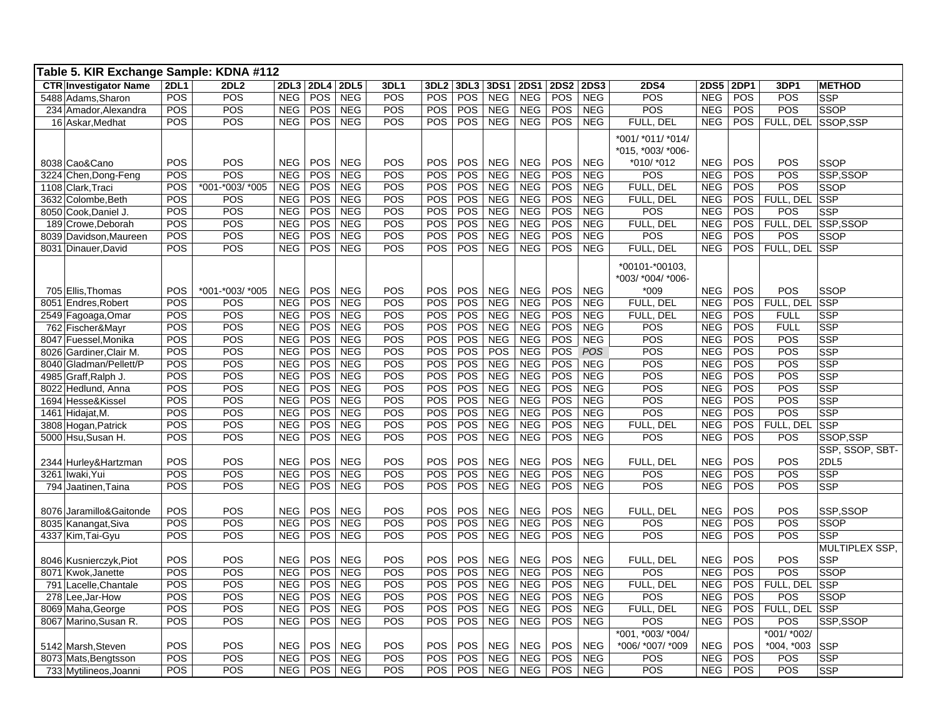| Table 5. KIR Exchange Sample: KDNA #112 |             |                  |                  |            |            |            |            |            |            |             |             |             |                   |             |             |                     |                 |
|-----------------------------------------|-------------|------------------|------------------|------------|------------|------------|------------|------------|------------|-------------|-------------|-------------|-------------------|-------------|-------------|---------------------|-----------------|
| <b>CTR Investigator Name</b>            | <b>2DL1</b> | 2DL <sub>2</sub> | 2DL <sub>3</sub> | 2DL4 2DL5  |            | 3DL1       | 3DL2       | 3DL3       | 3DS1       | <b>2DS1</b> | <b>2DS2</b> | <b>2DS3</b> | <b>2DS4</b>       | <b>2DS5</b> | <b>2DP1</b> | 3DP1                | <b>METHOD</b>   |
| 5488 Adams, Sharon                      | POS         | POS              | <b>NEG</b>       | <b>POS</b> | <b>NEG</b> | <b>POS</b> | <b>POS</b> | POS        | <b>NEG</b> | <b>NEG</b>  | POS         | <b>NEG</b>  | POS               | <b>NEG</b>  | <b>POS</b>  | POS                 | <b>SSP</b>      |
| 234 Amador, Alexandra                   | POS         | POS              | <b>NEG</b>       | POS        | <b>NEG</b> | <b>POS</b> | POS        | POS        | <b>NEG</b> | <b>NEG</b>  | POS         | <b>NEG</b>  | POS               | <b>NEG</b>  | POS         | POS                 | <b>SSOP</b>     |
| 16 Askar, Medhat                        | POS         | POS              | <b>NEG</b>       | <b>POS</b> | <b>NEG</b> | POS        | <b>POS</b> | POS        | <b>NEG</b> | <b>NEG</b>  | <b>POS</b>  | <b>NEG</b>  | FULL, DEL         | <b>NEG</b>  | <b>POS</b>  | FULL, DEL           | SSOP,SSP        |
|                                         |             |                  |                  |            |            |            |            |            |            |             |             |             | *001/ *011/ *014/ |             |             |                     |                 |
|                                         |             |                  |                  |            |            |            |            |            |            |             |             |             | *015, *003/ *006- |             |             |                     |                 |
| 8038 Cao&Cano                           | POS         | POS              | <b>NEG</b>       | <b>POS</b> | <b>NEG</b> | <b>POS</b> | <b>POS</b> | POS        | <b>NEG</b> | <b>NEG</b>  | POS         | <b>NEG</b>  | *010/ *012        | <b>NEG</b>  | <b>POS</b>  | POS                 | <b>SSOP</b>     |
| 3224 Chen, Dong-Feng                    | POS         | POS              | <b>NEG</b>       | POS        | <b>NEG</b> | POS        | <b>POS</b> | POS        | <b>NEG</b> | <b>NEG</b>  | POS         | <b>NEG</b>  | POS               | <b>NEG</b>  | POS         | POS                 | SSP,SSOP        |
| 1108 Clark, Traci                       | <b>POS</b>  | *001-*003/ *005  | <b>NEG</b>       | <b>POS</b> | <b>NEG</b> | POS        | <b>POS</b> | POS        | <b>NEG</b> | <b>NEG</b>  | POS         | <b>NEG</b>  | FULL, DEL         | <b>NEG</b>  | <b>POS</b>  | POS                 | <b>SSOP</b>     |
| 3632 Colombe, Beth                      | POS         | POS              | <b>NEG</b>       | <b>POS</b> | <b>NEG</b> | POS        | <b>POS</b> | POS        | <b>NEG</b> | <b>NEG</b>  | POS         | <b>NEG</b>  | FULL, DEL         | <b>NEG</b>  | POS         | FULL, DEL           | <b>SSP</b>      |
| 8050 Cook, Daniel J.                    | POS         | POS              | <b>NEG</b>       | POS        | <b>NEG</b> | POS        | <b>POS</b> | POS        | <b>NEG</b> | <b>NEG</b>  | POS         | <b>NEG</b>  | POS               | <b>NEG</b>  | <b>POS</b>  | POS                 | <b>SSP</b>      |
| 189 Crowe, Deborah                      | POS         | POS              | <b>NEG</b>       | <b>POS</b> | <b>NEG</b> | POS        | <b>POS</b> | POS        | <b>NEG</b> | <b>NEG</b>  | POS         | <b>NEG</b>  | FULL, DEL         | <b>NEG</b>  | <b>POS</b>  | FULL, DEL SSP, SSOP |                 |
| 8039 Davidson, Maureen                  | POS         | POS              | <b>NEG</b>       | POS        | <b>NEG</b> | POS        | POS        | POS        | <b>NEG</b> | <b>NEG</b>  | POS         | <b>NEG</b>  | POS               | <b>NEG</b>  | POS         | POS                 | SSOP            |
| 8031 Dinauer, David                     | <b>POS</b>  | POS              | <b>NEG</b>       | POS NEG    |            | POS        | <b>POS</b> | POS        | <b>NEG</b> | <b>NEG</b>  | POS         | <b>NEG</b>  | FULL, DEL         | <b>NEG</b>  | POS         | FULL, DEL SSP       |                 |
|                                         |             |                  |                  |            |            |            |            |            |            |             |             |             |                   |             |             |                     |                 |
|                                         |             |                  |                  |            |            |            |            |            |            |             |             |             | *00101-*00103,    |             |             |                     |                 |
|                                         |             |                  |                  |            |            |            |            |            |            |             |             |             | *003/ *004/ *006- |             |             |                     |                 |
| 705 Ellis. Thomas                       | POS         | *001-*003/ *005  | <b>NEG</b>       | POS        | <b>NEG</b> | POS        | <b>POS</b> | POS        | <b>NEG</b> | <b>NEG</b>  | POS         | <b>NEG</b>  | $*009$            | <b>NEG</b>  | POS         | POS                 | <b>SSOP</b>     |
| 8051 Endres, Robert                     | POS         | POS              | <b>NEG</b>       | <b>POS</b> | <b>NEG</b> | <b>POS</b> | <b>POS</b> | POS        | <b>NEG</b> | <b>NEG</b>  | POS         | <b>NEG</b>  | FULL, DEL         | <b>NEG</b>  | <b>POS</b>  | FULL, DEL           | <b>SSP</b>      |
| 2549 Fagoaga, Omar                      | POS         | POS              | <b>NEG</b>       | POS        | <b>NEG</b> | POS        | POS        | POS        | <b>NEG</b> | <b>NEG</b>  | POS         | <b>NEG</b>  | FULL, DEL         | <b>NEG</b>  | POS         | <b>FULL</b>         | <b>SSP</b>      |
| 762 Fischer&Mayr                        | POS         | POS              | <b>NEG</b>       | <b>POS</b> | <b>NEG</b> | POS        | <b>POS</b> | POS        | <b>NEG</b> | <b>NEG</b>  | POS         | <b>NEG</b>  | POS               | <b>NEG</b>  | <b>POS</b>  | <b>FULL</b>         | <b>SSP</b>      |
| 8047 Fuessel, Monika                    | POS         | POS              | <b>NEG</b>       | <b>POS</b> | <b>NEG</b> | POS        | <b>POS</b> | POS        | <b>NEG</b> | <b>NEG</b>  | POS         | <b>NEG</b>  | $\overline{POS}$  | <b>NEG</b>  | <b>POS</b>  | POS                 | <b>SSP</b>      |
| 8026 Gardiner, Clair M.                 | POS         | POS              | <b>NEG</b>       | <b>POS</b> | <b>NEG</b> | POS        | <b>POS</b> | <b>POS</b> | POS        | <b>NEG</b>  | POS         | POS         | POS               | <b>NEG</b>  | <b>POS</b>  | POS                 | SSP             |
| 8040 Gladman/Pellett/P                  | POS         | POS              | <b>NEG</b>       | <b>POS</b> | <b>NEG</b> | POS        | <b>POS</b> | POS        | <b>NEG</b> | <b>NEG</b>  | POS         | <b>NEG</b>  | POS               | <b>NEG</b>  | POS         | POS                 | <b>SSP</b>      |
| 4985 Graff,Ralph J.                     | POS         | POS              | <b>NEG</b>       | <b>POS</b> | <b>NEG</b> | POS        | <b>POS</b> | POS        | <b>NEG</b> | <b>NEG</b>  | POS         | <b>NEG</b>  | POS               | <b>NEG</b>  | POS         | POS                 | <b>SSP</b>      |
| 8022 Hedlund, Anna                      | POS         | POS              | <b>NEG</b>       | POS        | <b>NEG</b> | POS        | POS        | POS        | <b>NEG</b> | <b>NEG</b>  | POS         | <b>NEG</b>  | POS               | <b>NEG</b>  | POS         | POS                 | <b>SSP</b>      |
| 1694 Hesse&Kissel                       | POS         | POS              | <b>NEG</b>       | POS        | <b>NEG</b> | POS        | <b>POS</b> | <b>POS</b> | <b>NEG</b> | <b>NEG</b>  | POS         | <b>NEG</b>  | POS               | <b>NEG</b>  | <b>POS</b>  | POS                 | SSP             |
| 1461 Hidajat, M.                        | POS         | POS              | <b>NEG</b>       | <b>POS</b> | NEG        | POS        | <b>POS</b> | POS        | NEG        | NEG         | POS         | NEG         | POS               | <b>NEG</b>  | POS         | POS                 | SSP             |
| 3808 Hogan, Patrick                     | POS         | POS              | <b>NEG</b>       | <b>POS</b> | <b>NEG</b> | POS        | <b>POS</b> | POS        | <b>NEG</b> | <b>NEG</b>  | POS         | <b>NEG</b>  | FULL, DEL         | <b>NEG</b>  | <b>POS</b>  | FULL, DEL           | <b>SSP</b>      |
| 5000 Hsu, Susan H.                      | POS         | POS              | <b>NEG</b>       | <b>POS</b> | <b>NEG</b> | POS        | <b>POS</b> | POS        | <b>NEG</b> | <b>NEG</b>  | POS         | <b>NEG</b>  | POS               | <b>NEG</b>  | POS         | POS                 | SSOP,SSP        |
|                                         |             |                  |                  |            |            |            |            |            |            |             |             |             |                   |             |             |                     | SSP, SSOP, SBT- |
| 2344 Hurley&Hartzman                    | POS         | POS              | <b>NEG</b>       | POS        | <b>NEG</b> | POS        | POS        | POS        | <b>NEG</b> | <b>NEG</b>  | POS         | <b>NEG</b>  | FULL, DEL         | <b>NEG</b>  | <b>POS</b>  | POS                 | 2DL5            |
| 3261 Iwaki, Yui                         | POS         | POS              | <b>NEG</b>       | <b>POS</b> | <b>NEG</b> | POS        | POS        | POS        | <b>NEG</b> | <b>NEG</b>  | POS         | <b>NEG</b>  | POS               | <b>NEG</b>  | POS         | POS                 | <b>SSP</b>      |
| 794 Jaatinen, Taina                     | POS         | $\overline{POS}$ | <b>NEG</b>       | POS        | <b>NEG</b> | POS        | <b>POS</b> | POS        | <b>NEG</b> | <b>NEG</b>  | POS         | <b>NEG</b>  | $\overline{POS}$  | <b>NEG</b>  | <b>POS</b>  | POS                 | SSP             |
|                                         |             |                  |                  |            |            |            |            |            |            |             |             |             |                   |             |             |                     |                 |
| 8076 Jaramillo& Gaitonde                | POS         | POS              | <b>NEG</b>       | POS        | <b>NEG</b> | POS        | POS        | POS        | <b>NEG</b> | <b>NEG</b>  | POS         | <b>NEG</b>  | FULL, DEL         | <b>NEG</b>  | POS         | POS                 | SSP,SSOP        |
| 8035 Kanangat, Siva                     | POS         | POS              | <b>NEG</b>       | <b>POS</b> | <b>NEG</b> | POS        | <b>POS</b> | POS        | <b>NEG</b> | <b>NEG</b>  | POS         | <b>NEG</b>  | POS               | <b>NEG</b>  | POS         | POS                 | SSOP            |
| 4337 Kim, Tai-Gyu                       | POS         | POS              | <b>NEG</b>       | <b>POS</b> | <b>NEG</b> | POS        | <b>POS</b> | POS        | NEG        | <b>NEG</b>  | POS         | <b>NEG</b>  | POS               | <b>NEG</b>  | <b>POS</b>  | POS                 | <b>SSP</b>      |
|                                         |             |                  |                  |            |            |            |            |            |            |             |             |             |                   |             |             |                     | MULTIPLEX SSP.  |
| 8046 Kusnierczyk, Piot                  | POS         | POS              | <b>NEG</b>       | POS        | <b>NEG</b> | POS        | <b>POS</b> | POS        | <b>NEG</b> | <b>NEG</b>  | POS         | <b>NEG</b>  | FULL, DEL         | <b>NEG</b>  | POS         | POS                 | <b>SSP</b>      |
| 8071 Kwok, Janette                      | POS         | POS              | <b>NEG</b>       | POS NEG    |            | POS        | <b>POS</b> | POS        | <b>NEG</b> | <b>NEG</b>  | POS         | NEG         | POS               | <b>NEG</b>  | POS         | POS                 | SSOP            |
| 791 Lacelle, Chantale                   | POS         | POS              | <b>NEG</b>       | <b>POS</b> | <b>NEG</b> | POS        | <b>POS</b> | POS        | <b>NEG</b> | <b>NEG</b>  | POS         | <b>NEG</b>  | FULL, DEL         | <b>NEG</b>  | <b>POS</b>  | FULL, DEL           | SSP             |
| 278 Lee, Jar-How                        | POS         | POS              | <b>NEG</b>       | POS        | <b>NEG</b> | POS        | <b>POS</b> | POS        | <b>NEG</b> | <b>NEG</b>  | POS         | <b>NEG</b>  | POS               | <b>NEG</b>  | POS         | POS                 | <b>SSOP</b>     |
| 8069 Maha, George                       | POS         | POS              | <b>NEG</b>       | POS        | <b>NEG</b> | POS        | POS        | POS        | <b>NEG</b> | <b>NEG</b>  | POS         | <b>NEG</b>  | FULL, DEL         | <b>NEG</b>  | POS         | FULL, DEL SSP       |                 |
| 8067 Marino, Susan R.                   | POS         | POS              | <b>NEG</b>       | <b>POS</b> | <b>NEG</b> | POS        | POS        | POS        | <b>NEG</b> | <b>NEG</b>  | <b>POS</b>  | <b>NEG</b>  | POS               | <b>NEG</b>  | <b>POS</b>  | POS                 | SSP,SSOP        |
|                                         |             |                  |                  |            |            |            |            |            |            |             |             |             | *001, *003/ *004/ |             |             | *001/ *002/         |                 |
| 5142 Marsh, Steven                      | POS         | POS              | <b>NEG</b>       | <b>POS</b> | <b>NEG</b> | POS        | <b>POS</b> | POS        | <b>NEG</b> | <b>NEG</b>  | POS         | <b>NEG</b>  | *006/ *007/ *009  | <b>NEG</b>  | <b>POS</b>  | *004, *003          | SSP             |
| 8073 Mats, Bengtsson                    | POS         | POS              | <b>NEG</b>       | POS        | <b>NEG</b> | POS        | <b>POS</b> | POS        | <b>NEG</b> | <b>NEG</b>  | POS         | <b>NEG</b>  | POS               | <b>NEG</b>  | POS         | POS                 | <b>SSP</b>      |
| 733 Mytilineos, Joanni                  | POS         | POS              | <b>NEG</b>       | <b>POS</b> | <b>NEG</b> | POS        | POS        | POS        | <b>NEG</b> | <b>NEG</b>  | POS         | <b>NEG</b>  | POS               | <b>NEG</b>  | POS         | POS                 | <b>SSP</b>      |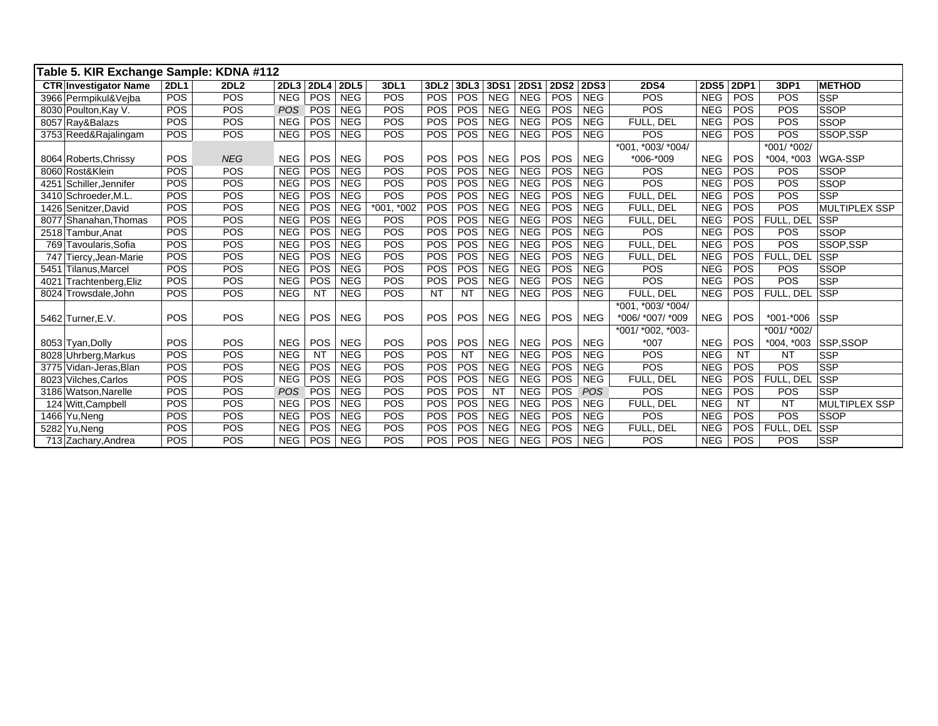| Table 5. KIR Exchange Sample: KDNA #112 |             |             |                  |                  |            |             |                  |            |            |             |             |             |                   |             |             |               |                      |
|-----------------------------------------|-------------|-------------|------------------|------------------|------------|-------------|------------------|------------|------------|-------------|-------------|-------------|-------------------|-------------|-------------|---------------|----------------------|
| <b>CTR Investigator Name</b>            | <b>2DL1</b> | <b>2DL2</b> | 2DL <sub>3</sub> | 2DL4 2DL5        |            | <b>3DL1</b> | 3DL <sub>2</sub> | 3DL3       | 3DS1       | <b>2DS1</b> | <b>2DS2</b> | <b>2DS3</b> | <b>2DS4</b>       | <b>2DS5</b> | <b>2DP1</b> | 3DP1          | <b>METHOD</b>        |
| 3966 Permpikul&Veiba                    | POS         | POS         | <b>NEG</b>       | POS              | <b>NEG</b> | POS         | POS              | POS        | <b>NEG</b> | <b>NEG</b>  | POS         | <b>NEG</b>  | POS               | <b>NEG</b>  | POS         | POS           | <b>SSP</b>           |
| 8030 Poulton, Kay V.                    | POS         | POS         | <b>POS</b>       | POS              | <b>NEG</b> | POS         | POS              | POS        | <b>NEG</b> | <b>NEG</b>  | POS         | <b>NEG</b>  | POS               | <b>NEG</b>  | POS         | POS           | <b>SSOP</b>          |
| 8057 Ray&Balazs                         | POS         | POS         | <b>NEG</b>       | POS              | <b>NEG</b> | <b>POS</b>  | <b>POS</b>       | POS        | <b>NEG</b> | <b>NEG</b>  | POS         | <b>NEG</b>  | FULL, DEL         | <b>NEG</b>  | POS         | POS           | <b>SSOP</b>          |
| 3753 Reed&Rajalingam                    | POS         | POS         | <b>NEG</b>       | $\overline{POS}$ | <b>NEG</b> | POS         | POS              | POS        | <b>NEG</b> | <b>NEG</b>  | POS         | <b>NEG</b>  | POS               | <b>NEG</b>  | POS         | POS           | SSOP.SSP             |
|                                         |             |             |                  |                  |            |             |                  |            |            |             |             |             | *001. *003/ *004/ |             |             | *001/ *002/   |                      |
| 8064 Roberts, Chrissy                   | POS         | <b>NEG</b>  | <b>NEG</b>       | POS              | <b>NEG</b> | POS         | POS              | <b>POS</b> | <b>NEG</b> | POS         | POS         | <b>NEG</b>  | *006-*009         | <b>NEG</b>  | POS         | $*004, *003$  | <b>WGA-SSP</b>       |
| 8060 Rost&Klein                         | POS         | POS         | <b>NEG</b>       | POS              | <b>NEG</b> | POS         | POS              | POS        | <b>NEG</b> | <b>NEG</b>  | POS         | <b>NEG</b>  | POS               | <b>NEG</b>  | POS         | POS           | <b>SSOP</b>          |
| Schiller, Jennifer<br>4251              | POS         | POS         | <b>NEG</b>       | POS              | <b>NEG</b> | POS         | POS              | POS        | <b>NEG</b> | <b>NEG</b>  | POS         | <b>NEG</b>  | POS               | <b>NEG</b>  | POS         | POS           | <b>SSOP</b>          |
| 3410 Schroeder, M.L.                    | POS         | POS         | <b>NEG</b>       | POS              | <b>NEG</b> | POS         | POS              | POS        | <b>NEG</b> | <b>NEG</b>  | POS         | <b>NEG</b>  | FULL, DEL         | <b>NEG</b>  | POS         | POS           | <b>SSP</b>           |
| 1426 Senitzer, David                    | POS         | POS         | <b>NEG</b>       | POS              | <b>NEG</b> | *001, *002  | POS              | <b>POS</b> | <b>NEG</b> | <b>NEG</b>  | POS         | <b>NEG</b>  | FULL, DEL         | <b>NEG</b>  | POS         | POS           | <b>MULTIPLEX SSP</b> |
| 8077 Shanahan, Thomas                   | POS         | POS         | <b>NEG</b>       | POS              | <b>NEG</b> | POS         | POS              | POS        | <b>NEG</b> | <b>NEG</b>  | POS         | <b>NEG</b>  | FULL, DEL         | <b>NEG</b>  | POS         | FULL, DEL     | <b>SSP</b>           |
| 2518 Tambur, Anat                       | POS         | POS         | <b>NEG</b>       | POS              | <b>NEG</b> | POS         | POS              | POS        | <b>NEG</b> | <b>NEG</b>  | POS         | <b>NEG</b>  | POS               | <b>NEG</b>  | POS         | POS           | <b>SSOP</b>          |
| Tavoularis, Sofia<br>769                | POS         | POS         | <b>NEG</b>       | POS              | <b>NEG</b> | POS         | POS              | POS        | <b>NEG</b> | <b>NEG</b>  | POS         | <b>NEG</b>  | FULL, DEL         | <b>NEG</b>  | POS         | POS           | SSOP.SSP             |
| Tiercy, Jean-Marie<br>747               | POS         | POS         | <b>NEG</b>       | POS              | <b>NEG</b> | POS         | POS              | POS        | <b>NEG</b> | <b>NEG</b>  | POS         | <b>NEG</b>  | FULL. DEL         | <b>NEG</b>  | <b>POS</b>  | FULL. DEL     | <b>SSP</b>           |
| <b>Tilanus.Marcel</b><br>5451           | POS         | POS         | <b>NEG</b>       | POS              | <b>NEG</b> | POS         | POS              | POS        | <b>NEG</b> | <b>NEG</b>  | POS         | <b>NEG</b>  | POS               | <b>NEG</b>  | POS         | POS           | <b>SSOP</b>          |
| Trachtenberg, Eliz<br>4021              | POS         | POS         | <b>NEG</b>       | POS              | <b>NEG</b> | POS         | POS              | POS        | <b>NEG</b> | <b>NEG</b>  | POS         | <b>NEG</b>  | POS               | <b>NEG</b>  | POS         | POS           | <b>SSP</b>           |
| Trowsdale, John<br>8024                 | POS         | POS         | <b>NEG</b>       | <b>NT</b>        | <b>NEG</b> | POS         | <b>NT</b>        | <b>NT</b>  | <b>NEG</b> | <b>NEG</b>  | POS         | <b>NEG</b>  | FULL, DEL         | <b>NEG</b>  | <b>POS</b>  | FULL, DEL     | <b>SSP</b>           |
|                                         |             |             |                  |                  |            |             |                  |            |            |             |             |             | *001, *003/ *004/ |             |             |               |                      |
| 5462 Turner, E.V.                       | POS         | POS         | <b>NEG</b>       | POS              | <b>NEG</b> | POS         | POS              | <b>POS</b> | <b>NEG</b> | <b>NEG</b>  | <b>POS</b>  | <b>NEG</b>  | *006/ *007/ *009  | <b>NEG</b>  | POS         | $*001 - *006$ | <b>SSP</b>           |
|                                         |             |             |                  |                  |            |             |                  |            |            |             |             |             | *001/ *002, *003- |             |             | *001/ *002/   |                      |
| 8053 Tyan, Dolly                        | POS         | POS         | <b>NEG</b>       | POS              | <b>NEG</b> | POS         | POS              | <b>POS</b> | <b>NEG</b> | <b>NEG</b>  | POS         | <b>NEG</b>  | $*007$            | <b>NEG</b>  | POS         | $*004, *003$  | SSP,SSOP             |
| 8028 Uhrberg, Markus                    | POS         | POS         | <b>NEG</b>       | <b>NT</b>        | <b>NEG</b> | POS         | POS              | <b>NT</b>  | <b>NEG</b> | <b>NEG</b>  | POS         | <b>NEG</b>  | POS               | <b>NEG</b>  | <b>NT</b>   | <b>NT</b>     | <b>SSP</b>           |
| 3775 Vidan-Jeras, Blan                  | POS         | POS         | <b>NEG</b>       | POS              | <b>NEG</b> | POS         | POS              | POS        | <b>NEG</b> | <b>NEG</b>  | POS         | <b>NEG</b>  | POS               | <b>NEG</b>  | POS         | POS           | <b>SSP</b>           |
| 8023 Vilches, Carlos                    | POS         | POS         | <b>NEG</b>       | POS              | <b>NEG</b> | POS         | POS              | POS        | <b>NEG</b> | <b>NEG</b>  | POS         | <b>NEG</b>  | FULL. DEL         | <b>NEG</b>  | <b>POS</b>  | FULL, DEL     | <b>SSP</b>           |
| 3186 Watson, Narelle                    | <b>POS</b>  | POS         | <b>POS</b>       | POS              | <b>NEG</b> | POS         | POS              | POS        | <b>NT</b>  | <b>NEG</b>  | POS         | <b>POS</b>  | POS               | <b>NEG</b>  | POS         | POS           | <b>SSP</b>           |
| 124 Witt, Campbell                      | POS         | POS         | <b>NEG</b>       | POS              | <b>NEG</b> | POS         | POS              | POS        | <b>NEG</b> | <b>NEG</b>  | POS         | <b>NEG</b>  | FULL, DEL         | <b>NEG</b>  | <b>NT</b>   | <b>NT</b>     | <b>MULTIPLEX SSP</b> |
| 1466 Yu, Neng                           | POS         | POS         | <b>NEG</b>       | POS              | <b>NEG</b> | POS         | POS              | POS        | <b>NEG</b> | <b>NEG</b>  | POS         | <b>NEG</b>  | POS               | <b>NEG</b>  | POS         | POS           | <b>SSOP</b>          |
| 5282 Yu, Neng                           | POS         | POS         | <b>NEG</b>       | POS              | <b>NEG</b> | POS         | POS              | POS        | <b>NEG</b> | <b>NEG</b>  | POS         | <b>NEG</b>  | FULL, DEL         | <b>NEG</b>  | <b>POS</b>  | FULL, DEL     | <b>SSP</b>           |
| 713 Zachary, Andrea                     | POS         | POS         | <b>NEG</b>       | <b>POS</b>       | <b>NEG</b> | POS         | <b>POS</b>       | <b>POS</b> | <b>NEG</b> | <b>NEG</b>  | POS         | <b>NEG</b>  | POS               | <b>NEG</b>  | POS         | POS           | <b>SSP</b>           |